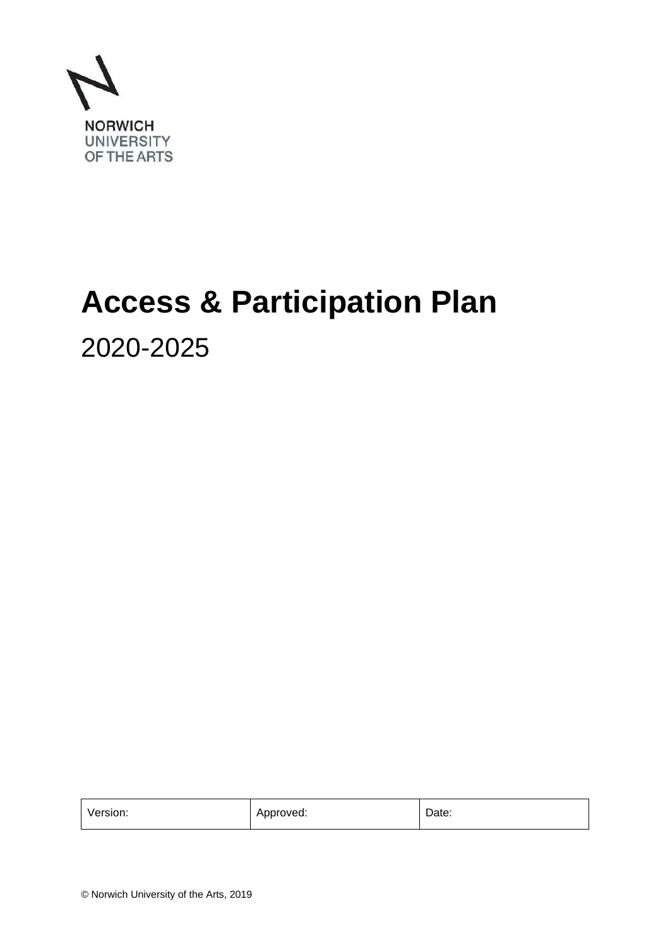

# **Access & Participation Plan**  2020-2025

| Version:<br>Approved: |  | Date: |
|-----------------------|--|-------|
|-----------------------|--|-------|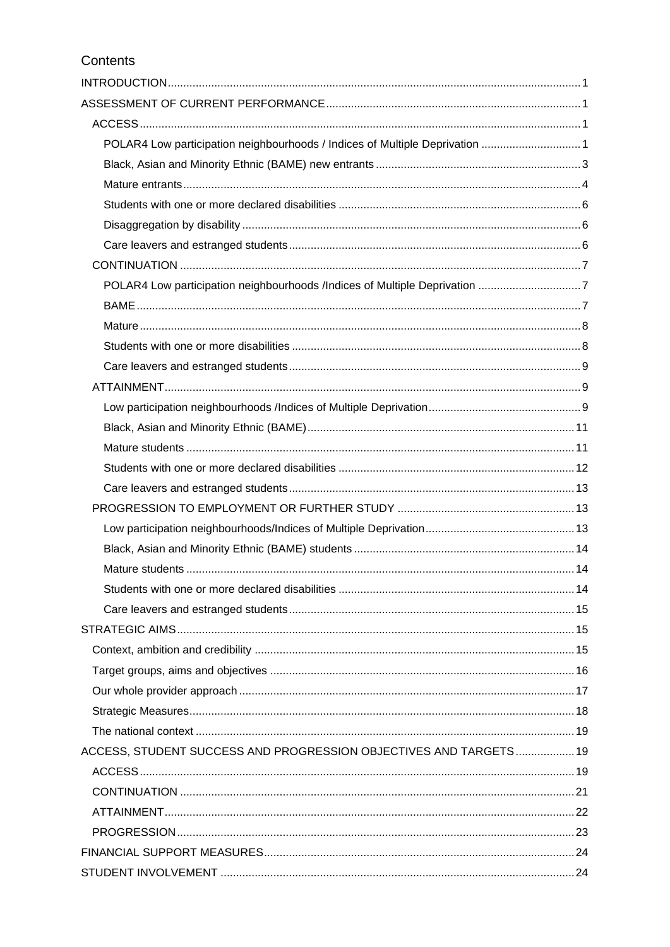# Contents

| POLAR4 Low participation neighbourhoods / Indices of Multiple Deprivation  1 |  |
|------------------------------------------------------------------------------|--|
|                                                                              |  |
|                                                                              |  |
|                                                                              |  |
|                                                                              |  |
|                                                                              |  |
|                                                                              |  |
|                                                                              |  |
|                                                                              |  |
|                                                                              |  |
|                                                                              |  |
|                                                                              |  |
|                                                                              |  |
|                                                                              |  |
|                                                                              |  |
|                                                                              |  |
|                                                                              |  |
|                                                                              |  |
|                                                                              |  |
|                                                                              |  |
|                                                                              |  |
|                                                                              |  |
|                                                                              |  |
|                                                                              |  |
|                                                                              |  |
|                                                                              |  |
|                                                                              |  |
|                                                                              |  |
|                                                                              |  |
|                                                                              |  |
| ACCESS, STUDENT SUCCESS AND PROGRESSION OBJECTIVES AND TARGETS 19            |  |
|                                                                              |  |
|                                                                              |  |
|                                                                              |  |
|                                                                              |  |
|                                                                              |  |
|                                                                              |  |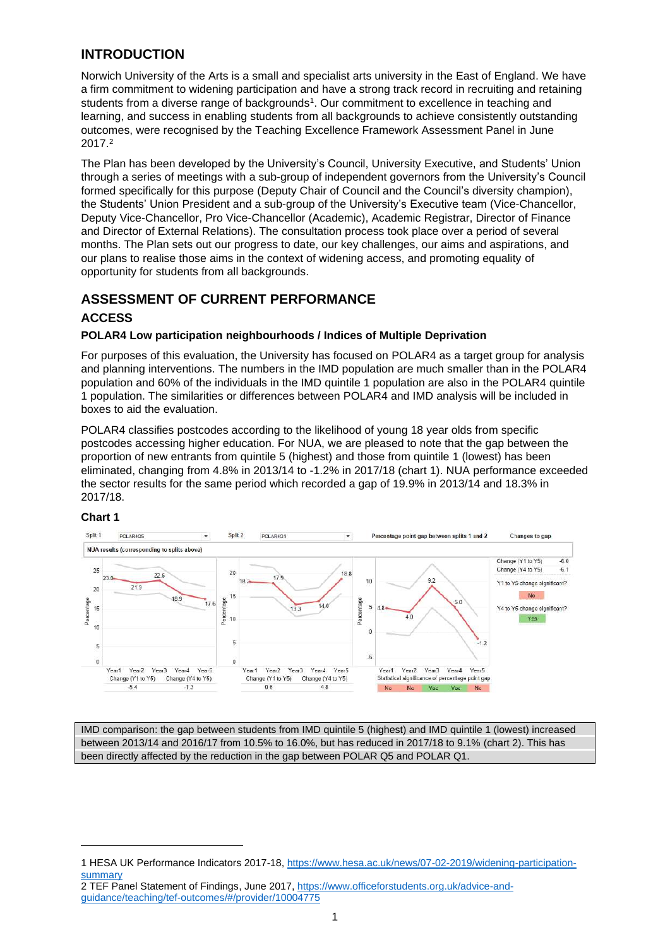# <span id="page-3-0"></span>**INTRODUCTION**

 Norwich University of the Arts is a small and specialist arts university in the East of England. We have outcomes, were recognised by the Teaching Excellence Framework Assessment Panel in June 2017.2 a firm commitment to widening participation and have a strong track record in recruiting and retaining students from a diverse range of backgrounds<sup>1</sup>. Our commitment to excellence in teaching and learning, and success in enabling students from all backgrounds to achieve consistently outstanding

The Plan has been developed by the University's Council, University Executive, and Students' Union through a series of meetings with a sub-group of independent governors from the University's Council formed specifically for this purpose (Deputy Chair of Council and the Council's diversity champion), the Students' Union President and a sub-group of the University's Executive team (Vice-Chancellor, Deputy Vice-Chancellor, Pro Vice-Chancellor (Academic), Academic Registrar, Director of Finance and Director of External Relations). The consultation process took place over a period of several months. The Plan sets out our progress to date, our key challenges, our aims and aspirations, and our plans to realise those aims in the context of widening access, and promoting equality of opportunity for students from all backgrounds.

# <span id="page-3-1"></span>**ASSESSMENT OF CURRENT PERFORMANCE**

## <span id="page-3-2"></span>**ACCESS**

## <span id="page-3-3"></span>**POLAR4 Low participation neighbourhoods / Indices of Multiple Deprivation**

boxes to aid the evaluation. For purposes of this evaluation, the University has focused on POLAR4 as a target group for analysis and planning interventions. The numbers in the IMD population are much smaller than in the POLAR4 population and 60% of the individuals in the IMD quintile 1 population are also in the POLAR4 quintile 1 population. The similarities or differences between POLAR4 and IMD analysis will be included in

 postcodes accessing higher education. For NUA, we are pleased to note that the gap between the POLAR4 classifies postcodes according to the likelihood of young 18 year olds from specific proportion of new entrants from quintile 5 (highest) and those from quintile 1 (lowest) has been eliminated, changing from 4.8% in 2013/14 to -1.2% in 2017/18 (chart 1). NUA performance exceeded the sector results for the same period which recorded a gap of 19.9% in 2013/14 and 18.3% in 2017/18.



#### **Chart 1**

 between 2013/14 and 2016/17 from 10.5% to 16.0%, but has reduced in 2017/18 to 9.1% (chart 2). This has been directly affected by the reduction in the gap between POLAR Q5 and POLAR Q1. IMD comparison: the gap between students from IMD quintile 5 (highest) and IMD quintile 1 (lowest) increased

<sup>1</sup> HESA UK Performance Indicators 2017-18, [https://www.hesa.ac.uk/news/07-02-2019/widening-participation](https://www.hesa.ac.uk/news/07-02-2019/widening-participation-summary)[summary](https://www.hesa.ac.uk/news/07-02-2019/widening-participation-summary) 

<sup>2</sup> TEF Panel Statement of Findings, June 2017, [https://www.officeforstudents.org.uk/advice-and](https://www.officeforstudents.org.uk/advice-and-guidance/teaching/tef-outcomes/#/provider/10004775)[guidance/teaching/tef-outcomes/#/provider/10004775](https://www.officeforstudents.org.uk/advice-and-guidance/teaching/tef-outcomes/#/provider/10004775)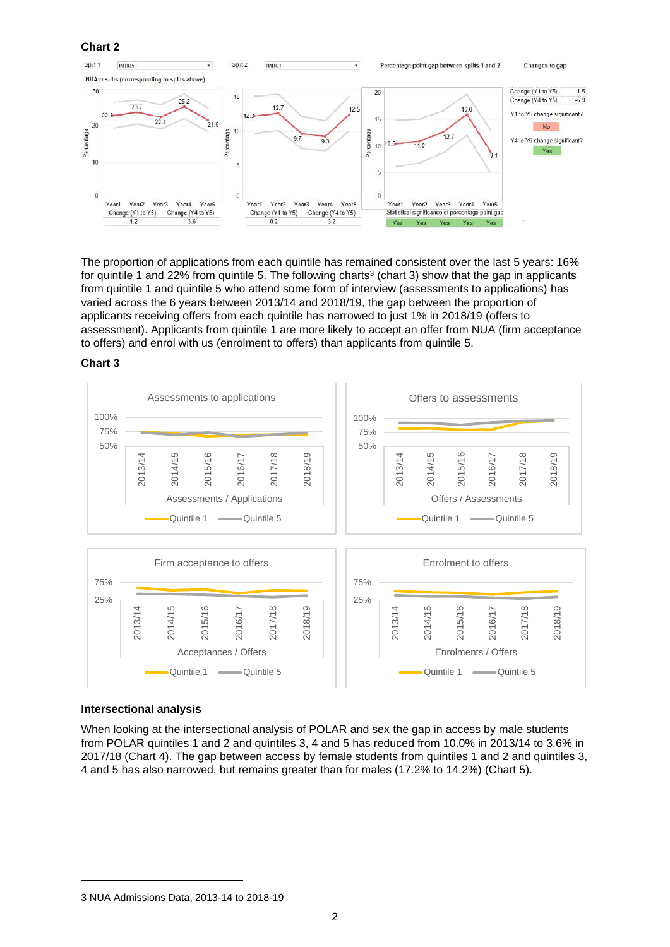

The proportion of applications from each quintile has remained consistent over the last 5 years: 16% for quintile 1 and 22% from quintile 5. The following charts<sup>3</sup> (chart 3) show that the gap in applicants from quintile 1 and quintile 5 who attend some form of interview (assessments to applications) has varied across the 6 years between 2013/14 and 2018/19, the gap between the proportion of applicants receiving offers from each quintile has narrowed to just 1% in 2018/19 (offers to assessment). Applicants from quintile 1 are more likely to accept an offer from NUA (firm acceptance to offers) and enrol with us (enrolment to offers) than applicants from quintile 5.

**Chart 3** 



#### **Intersectional analysis**

 When looking at the intersectional analysis of POLAR and sex the gap in access by male students from POLAR quintiles 1 and 2 and quintiles 3, 4 and 5 has reduced from 10.0% in 2013/14 to 3.6% in 2017/18 (Chart 4). The gap between access by female students from quintiles 1 and 2 and quintiles 3, 4 and 5 has also narrowed, but remains greater than for males (17.2% to 14.2%) (Chart 5).

<sup>3</sup> NUA Admissions Data, 2013-14 to 2018-19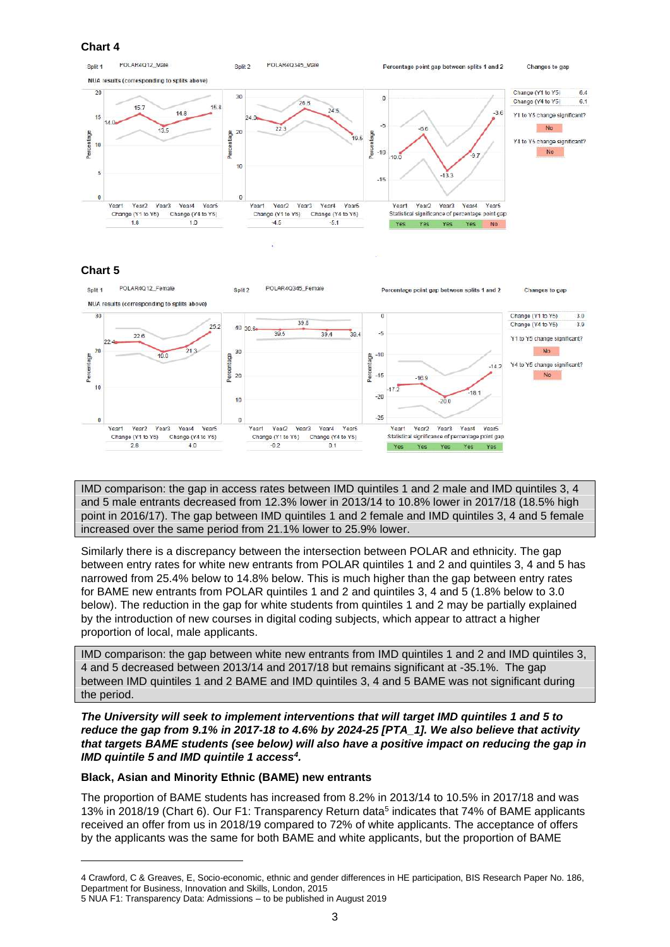

#### **Chart 5**



IMD comparison: the gap in access rates between IMD quintiles 1 and 2 male and IMD quintiles 3, 4 and 5 male entrants decreased from 12.3% lower in 2013/14 to 10.8% lower in 2017/18 (18.5% high point in 2016/17). The gap between IMD quintiles 1 and 2 female and IMD quintiles 3, 4 and 5 female increased over the same period from 21.1% lower to 25.9% lower.

 between entry rates for white new entrants from POLAR quintiles 1 and 2 and quintiles 3, 4 and 5 has narrowed from 25.4% below to 14.8% below. This is much higher than the gap between entry rates for BAME new entrants from POLAR quintiles 1 and 2 and quintiles 3, 4 and 5 (1.8% below to 3.0 below). The reduction in the gap for white students from quintiles 1 and 2 may be partially explained Similarly there is a discrepancy between the intersection between POLAR and ethnicity. The gap by the introduction of new courses in digital coding subjects, which appear to attract a higher proportion of local, male applicants.

 IMD comparison: the gap between white new entrants from IMD quintiles 1 and 2 and IMD quintiles 3, 4 and 5 decreased between 2013/14 and 2017/18 but remains significant at -35.1%. The gap between IMD quintiles 1 and 2 BAME and IMD quintiles 3, 4 and 5 BAME was not significant during the period.

 *The University will seek to implement interventions that will target IMD quintiles 1 and 5 to reduce the gap from 9.1% in 2017-18 to 4.6% by 2024-25 [PTA\_1]. We also believe that activity that targets BAME students (see below) will also have a positive impact on reducing the gap in IMD quintile 5 and IMD quintile 1 access4.* 

#### <span id="page-5-0"></span>**Black, Asian and Minority Ethnic (BAME) new entrants**

 The proportion of BAME students has increased from 8.2% in 2013/14 to 10.5% in 2017/18 and was by the applicants was the same for both BAME and white applicants, but the proportion of BAME 13% in 2018/19 (Chart 6). Our F1: Transparency Return data<sup>5</sup> indicates that 74% of BAME applicants received an offer from us in 2018/19 compared to 72% of white applicants. The acceptance of offers

 4 Crawford, C & Greaves, E, Socio-economic, ethnic and gender differences in HE participation, BIS Research Paper No. 186, Department for Business, Innovation and Skills, London, 2015

 5 NUA F1: Transparency Data: Admissions – to be published in August 2019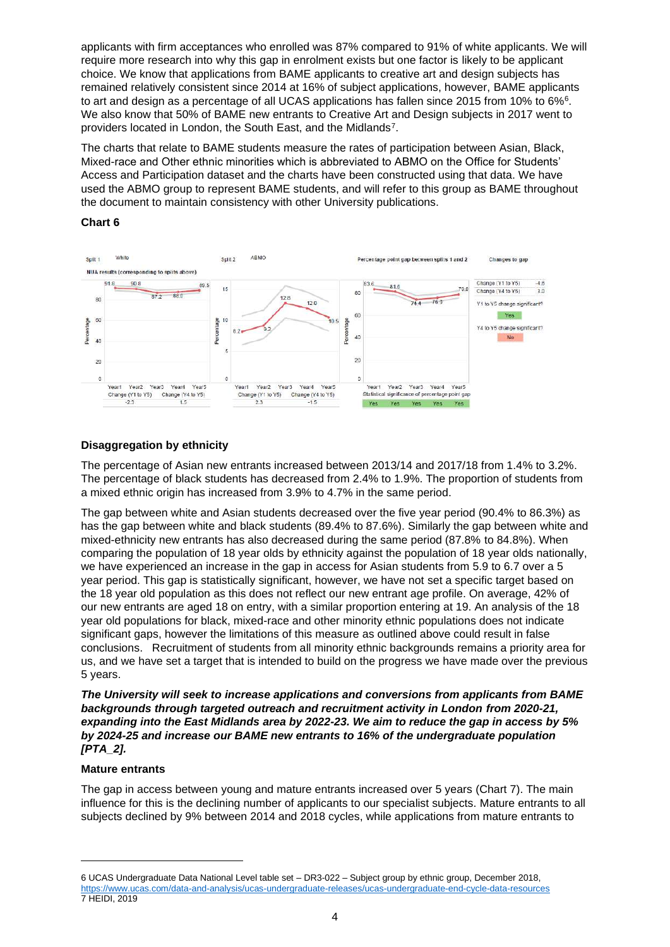require more research into why this gap in enrolment exists but one factor is likely to be applicant to art and design as a percentage of all UCAS applications has fallen since 2015 from 10% to 6%<sup>6</sup>. applicants with firm acceptances who enrolled was 87% compared to 91% of white applicants. We will choice. We know that applications from BAME applicants to creative art and design subjects has remained relatively consistent since 2014 at 16% of subject applications, however, BAME applicants We also know that 50% of BAME new entrants to Creative Art and Design subjects in 2017 went to providers located in London, the South East, and the Midlands7.

The charts that relate to BAME students measure the rates of participation between Asian, Black, Mixed-race and Other ethnic minorities which is abbreviated to ABMO on the Office for Students' Access and Participation dataset and the charts have been constructed using that data. We have used the ABMO group to represent BAME students, and will refer to this group as BAME throughout the document to maintain consistency with other University publications.

#### **Chart 6**



## **Disaggregation by ethnicity**

The percentage of Asian new entrants increased between 2013/14 and 2017/18 from 1.4% to 3.2%. The percentage of black students has decreased from 2.4% to 1.9%. The proportion of students from a mixed ethnic origin has increased from 3.9% to 4.7% in the same period.

 The gap between white and Asian students decreased over the five year period (90.4% to 86.3%) as year period. This gap is statistically significant, however, we have not set a specific target based on has the gap between white and black students (89.4% to 87.6%). Similarly the gap between white and mixed-ethnicity new entrants has also decreased during the same period (87.8% to 84.8%). When comparing the population of 18 year olds by ethnicity against the population of 18 year olds nationally, we have experienced an increase in the gap in access for Asian students from 5.9 to 6.7 over a 5 the 18 year old population as this does not reflect our new entrant age profile. On average, 42% of our new entrants are aged 18 on entry, with a similar proportion entering at 19. An analysis of the 18 year old populations for black, mixed-race and other minority ethnic populations does not indicate significant gaps, however the limitations of this measure as outlined above could result in false conclusions. Recruitment of students from all minority ethnic backgrounds remains a priority area for us, and we have set a target that is intended to build on the progress we have made over the previous 5 years.

*The University will seek to increase applications and conversions from applicants from BAME backgrounds through targeted outreach and recruitment activity in London from 2020-21, expanding into the East Midlands area by 2022-23. We aim to reduce the gap in access by 5% by 2024-25 and increase our BAME new entrants to 16% of the undergraduate population [PTA\_2].* 

#### <span id="page-6-0"></span>**Mature entrants**

 The gap in access between young and mature entrants increased over 5 years (Chart 7). The main influence for this is the declining number of applicants to our specialist subjects. Mature entrants to all subjects declined by 9% between 2014 and 2018 cycles, while applications from mature entrants to

 6 UCAS Undergraduate Data National Level table set – DR3-022 – Subject group by ethnic group, December 2018, <https://www.ucas.com/data-and-analysis/ucas-undergraduate-releases/ucas-undergraduate-end-cycle-data-resources> 7 HEIDI, 2019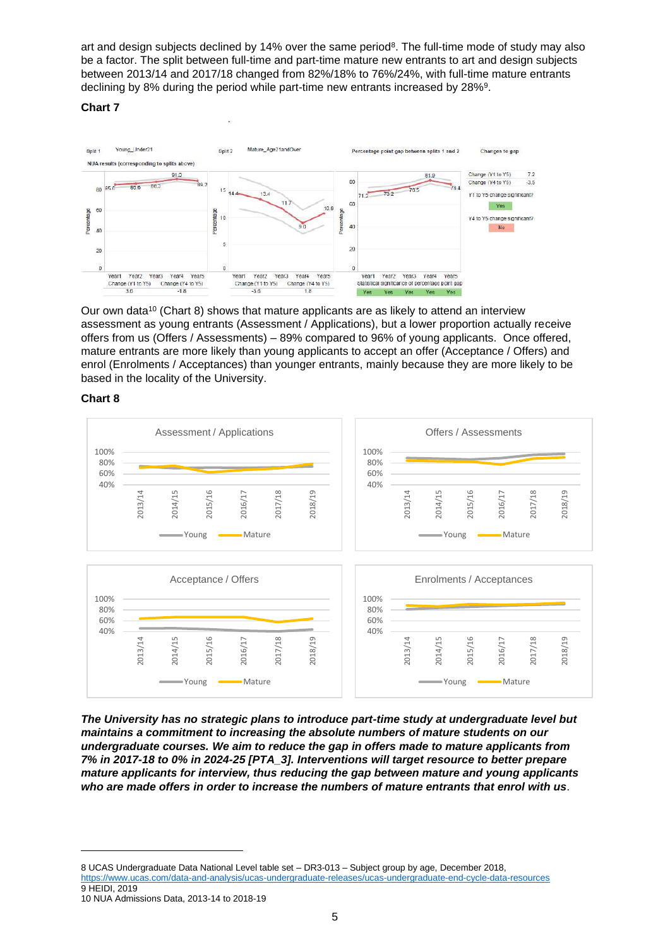art and design subjects declined by 14% over the same period<sup>8</sup>. The full-time mode of study may also be a factor. The split between full-time and part-time mature new entrants to art and design subjects between 2013/14 and 2017/18 changed from 82%/18% to 76%/24%, with full-time mature entrants declining by 8% during the period while part-time new entrants increased by 28%9.

#### **Chart 7**



Our own data<sup>10</sup> (Chart 8) shows that mature applicants are as likely to attend an interview enrol (Enrolments / Acceptances) than younger entrants, mainly because they are more likely to be assessment as young entrants (Assessment / Applications), but a lower proportion actually receive offers from us (Offers / Assessments) – 89% compared to 96% of young applicants. Once offered, mature entrants are more likely than young applicants to accept an offer (Acceptance / Offers) and based in the locality of the University.

#### **Chart 8**



 *mature applicants for interview, thus reducing the gap between mature and young applicants The University has no strategic plans to introduce part-time study at undergraduate level but maintains a commitment to increasing the absolute numbers of mature students on our undergraduate courses. We aim to reduce the gap in offers made to mature applicants from 7% in 2017-18 to 0% in 2024-25 [PTA\_3]. Interventions will target resource to better prepare who are made offers in order to increase the numbers of mature entrants that enrol with us*.

 8 UCAS Undergraduate Data National Level table set – DR3-013 – Subject group by age, December 2018, 9 HEIDI, 2019 <https://www.ucas.com/data-and-analysis/ucas-undergraduate-releases/ucas-undergraduate-end-cycle-data-resources>

 10 NUA Admissions Data, 2013-14 to 2018-19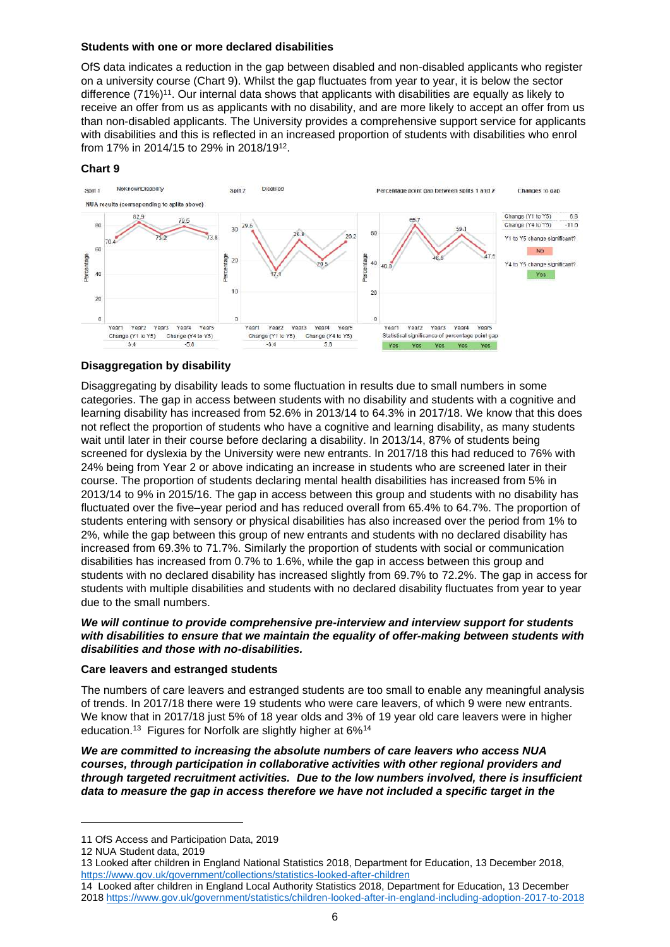#### <span id="page-8-0"></span>**Students with one or more declared disabilities**

 OfS data indicates a reduction in the gap between disabled and non-disabled applicants who register receive an offer from us as applicants with no disability, and are more likely to accept an offer from us with disabilities and this is reflected in an increased proportion of students with disabilities who enrol on a university course (Chart 9). Whilst the gap fluctuates from year to year, it is below the sector difference (71%)11. Our internal data shows that applicants with disabilities are equally as likely to than non-disabled applicants. The University provides a comprehensive support service for applicants from 17% in 2014/15 to 29% in 2018/1912.

### **Chart 9**



## <span id="page-8-1"></span>**Disaggregation by disability**

 24% being from Year 2 or above indicating an increase in students who are screened later in their Disaggregating by disability leads to some fluctuation in results due to small numbers in some categories. The gap in access between students with no disability and students with a cognitive and learning disability has increased from 52.6% in 2013/14 to 64.3% in 2017/18. We know that this does not reflect the proportion of students who have a cognitive and learning disability, as many students wait until later in their course before declaring a disability. In 2013/14, 87% of students being screened for dyslexia by the University were new entrants. In 2017/18 this had reduced to 76% with course. The proportion of students declaring mental health disabilities has increased from 5% in 2013/14 to 9% in 2015/16. The gap in access between this group and students with no disability has fluctuated over the five–year period and has reduced overall from 65.4% to 64.7%. The proportion of students entering with sensory or physical disabilities has also increased over the period from 1% to 2%, while the gap between this group of new entrants and students with no declared disability has increased from 69.3% to 71.7%. Similarly the proportion of students with social or communication disabilities has increased from 0.7% to 1.6%, while the gap in access between this group and students with no declared disability has increased slightly from 69.7% to 72.2%. The gap in access for students with multiple disabilities and students with no declared disability fluctuates from year to year due to the small numbers.

#### *We will continue to provide comprehensive pre-interview and interview support for students with disabilities to ensure that we maintain the equality of offer-making between students with disabilities and those with no-disabilities.*

#### <span id="page-8-2"></span>**Care leavers and estranged students**

education.<sup>13</sup> Figures for Norfolk are slightly higher at 6%<sup>14</sup> The numbers of care leavers and estranged students are too small to enable any meaningful analysis of trends. In 2017/18 there were 19 students who were care leavers, of which 9 were new entrants. We know that in 2017/18 just 5% of 18 year olds and 3% of 19 year old care leavers were in higher

*We are committed to increasing the absolute numbers of care leavers who access NUA courses, through participation in collaborative activities with other regional providers and through targeted recruitment activities. Due to the low numbers involved, there is insufficient data to measure the gap in access therefore we have not included a specific target in the* 

<sup>11</sup> OfS Access and Participation Data, 2019

<sup>12</sup> NUA Student data, 2019

<sup>13</sup> Looked after children in England National Statistics 2018, Department for Education, 13 December 2018, <https://www.gov.uk/government/collections/statistics-looked-after-children>

 14 Looked after children in England Local Authority Statistics 2018, Department for Education, 13 December 201[8 https://www.gov.uk/government/statistics/children-looked-after-in-england-including-adoption-2017-to-2018](https://www.gov.uk/government/statistics/children-looked-after-in-england-including-adoption-2017-to-2018)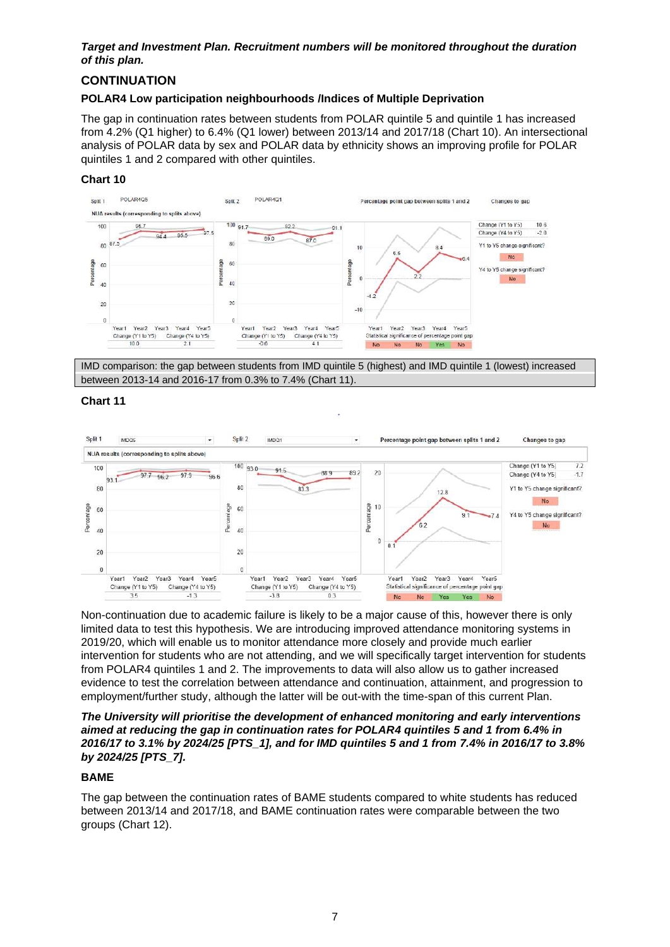#### *Target and Investment Plan. Recruitment numbers will be monitored throughout the duration of this plan.*

# <span id="page-9-0"></span>**CONTINUATION**

#### <span id="page-9-1"></span>**POLAR4 Low participation neighbourhoods /Indices of Multiple Deprivation**

The gap in continuation rates between students from POLAR quintile 5 and quintile 1 has increased from 4.2% (Q1 higher) to 6.4% (Q1 lower) between 2013/14 and 2017/18 (Chart 10). An intersectional analysis of POLAR data by sex and POLAR data by ethnicity shows an improving profile for POLAR quintiles 1 and 2 compared with other quintiles.

### **Chart 10**



 between 2013-14 and 2016-17 from 0.3% to 7.4% (Chart 11). IMD comparison: the gap between students from IMD quintile 5 (highest) and IMD quintile 1 (lowest) increased

#### **Chart 11**



 Non-continuation due to academic failure is likely to be a major cause of this, however there is only from POLAR4 quintiles 1 and 2. The improvements to data will also allow us to gather increased limited data to test this hypothesis. We are introducing improved attendance monitoring systems in 2019/20, which will enable us to monitor attendance more closely and provide much earlier intervention for students who are not attending, and we will specifically target intervention for students evidence to test the correlation between attendance and continuation, attainment, and progression to employment/further study, although the latter will be out-with the time-span of this current Plan.

*The University will prioritise the development of enhanced monitoring and early interventions aimed at reducing the gap in continuation rates for POLAR4 quintiles 5 and 1 from 6.4% in 2016/17 to 3.1% by 2024/25 [PTS\_1], and for IMD quintiles 5 and 1 from 7.4% in 2016/17 to 3.8% by 2024/25 [PTS\_7].* 

#### <span id="page-9-2"></span>**BAME**

The gap between the continuation rates of BAME students compared to white students has reduced between 2013/14 and 2017/18, and BAME continuation rates were comparable between the two groups (Chart 12).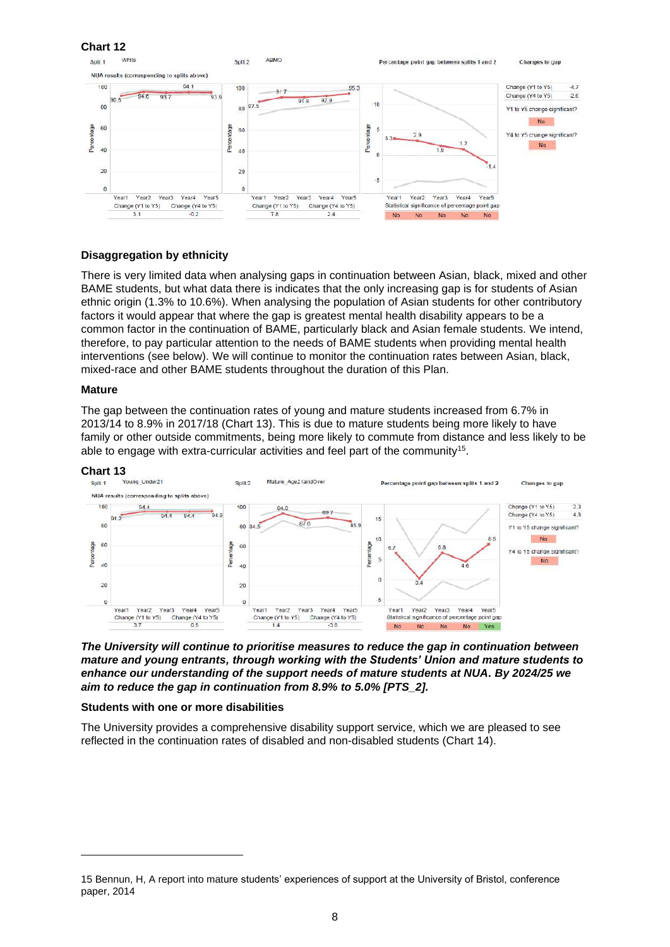

#### **Disaggregation by ethnicity**

 BAME students, but what data there is indicates that the only increasing gap is for students of Asian factors it would appear that where the gap is greatest mental health disability appears to be a mixed-race and other BAME students throughout the duration of this Plan. There is very limited data when analysing gaps in continuation between Asian, black, mixed and other ethnic origin (1.3% to 10.6%). When analysing the population of Asian students for other contributory common factor in the continuation of BAME, particularly black and Asian female students. We intend, therefore, to pay particular attention to the needs of BAME students when providing mental health interventions (see below). We will continue to monitor the continuation rates between Asian, black,

#### <span id="page-10-0"></span>**Mature**

The gap between the continuation rates of young and mature students increased from 6.7% in 2013/14 to 8.9% in 2017/18 (Chart 13). This is due to mature students being more likely to have family or other outside commitments, being more likely to commute from distance and less likely to be able to engage with extra-curricular activities and feel part of the community<sup>15</sup>.

#### **Chart 13**



 *mature and young entrants, through working with the Students' Union and mature students to The University will continue to prioritise measures to reduce the gap in continuation between enhance our understanding of the support needs of mature students at NUA. By 2024/25 we aim to reduce the gap in continuation from 8.9% to 5.0% [PTS\_2].* 

#### <span id="page-10-1"></span>**Students with one or more disabilities**

The University provides a comprehensive disability support service, which we are pleased to see reflected in the continuation rates of disabled and non-disabled students (Chart 14).

<sup>15</sup> Bennun, H, A report into mature students' experiences of support at the University of Bristol, conference paper, 2014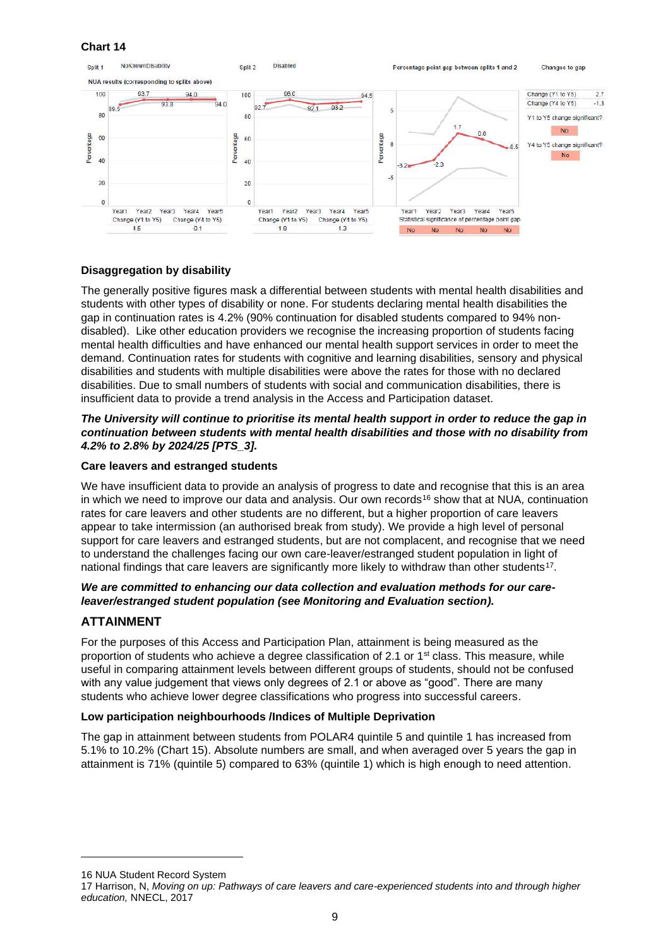

#### **Disaggregation by disability**

 gap in continuation rates is 4.2% (90% continuation for disabled students compared to 94% non-The generally positive figures mask a differential between students with mental health disabilities and students with other types of disability or none. For students declaring mental health disabilities the disabled). Like other education providers we recognise the increasing proportion of students facing mental health difficulties and have enhanced our mental health support services in order to meet the demand. Continuation rates for students with cognitive and learning disabilities, sensory and physical disabilities and students with multiple disabilities were above the rates for those with no declared disabilities. Due to small numbers of students with social and communication disabilities, there is insufficient data to provide a trend analysis in the Access and Participation dataset.

#### *The University will continue to prioritise its mental health support in order to reduce the gap in continuation between students with mental health disabilities and those with no disability from 4.2% to 2.8% by 2024/25 [PTS\_3].*

#### <span id="page-11-0"></span>**Care leavers and estranged students**

 appear to take intermission (an authorised break from study). We provide a high level of personal We have insufficient data to provide an analysis of progress to date and recognise that this is an area in which we need to improve our data and analysis. Our own records<sup>16</sup> show that at NUA, continuation rates for care leavers and other students are no different, but a higher proportion of care leavers support for care leavers and estranged students, but are not complacent, and recognise that we need to understand the challenges facing our own care-leaver/estranged student population in light of national findings that care leavers are significantly more likely to withdraw than other students<sup>17</sup>.

#### *We are committed to enhancing our data collection and evaluation methods for our careleaver/estranged student population (see Monitoring and Evaluation section).*

#### <span id="page-11-1"></span>**ATTAINMENT**

proportion of students who achieve a degree classification of 2.1 or 1<sup>st</sup> class. This measure, while For the purposes of this Access and Participation Plan, attainment is being measured as the useful in comparing attainment levels between different groups of students, should not be confused with any value judgement that views only degrees of 2.1 or above as "good". There are many students who achieve lower degree classifications who progress into successful careers.

#### <span id="page-11-2"></span>**Low participation neighbourhoods /Indices of Multiple Deprivation**

The gap in attainment between students from POLAR4 quintile 5 and quintile 1 has increased from 5.1% to 10.2% (Chart 15). Absolute numbers are small, and when averaged over 5 years the gap in attainment is 71% (quintile 5) compared to 63% (quintile 1) which is high enough to need attention.

16 NUA Student Record System

 17 Harrison, N, *Moving on up: Pathways of care leavers and care-experienced students into and through higher education,* NNECL, 2017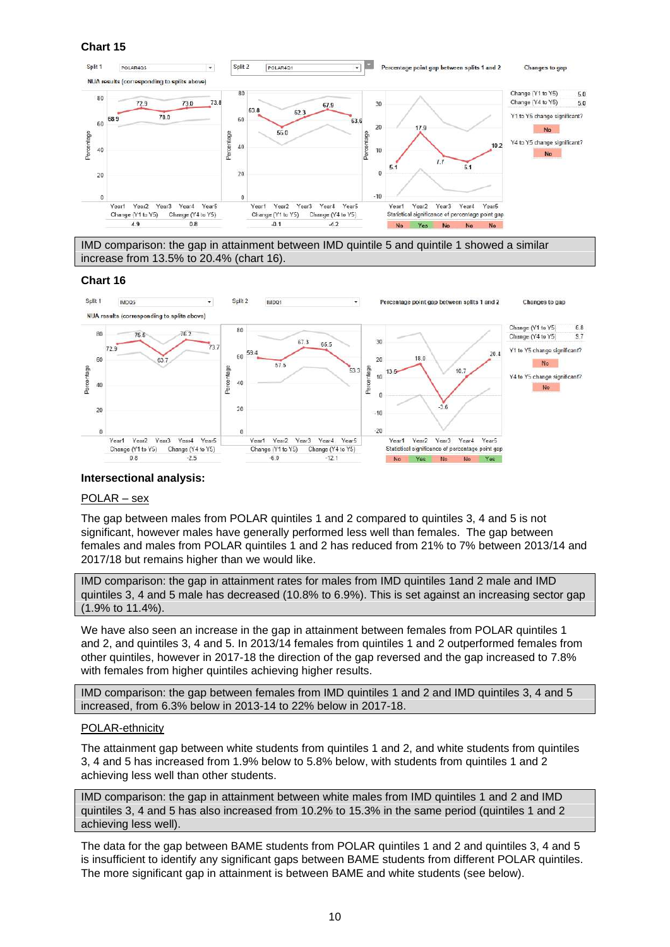

IMD comparison: the gap in attainment between IMD quintile 5 and quintile 1 showed a similar increase from 13.5% to 20.4% (chart 16).

#### **Chart 16**



#### **Intersectional analysis:**

#### POLAR – sex

 significant, however males have generally performed less well than females. The gap between females and males from POLAR quintiles 1 and 2 has reduced from 21% to 7% between 2013/14 and The gap between males from POLAR quintiles 1 and 2 compared to quintiles 3, 4 and 5 is not 2017/18 but remains higher than we would like.

 IMD comparison: the gap in attainment rates for males from IMD quintiles 1and 2 male and IMD quintiles 3, 4 and 5 male has decreased (10.8% to 6.9%). This is set against an increasing sector gap (1.9% to 11.4%).

 other quintiles, however in 2017-18 the direction of the gap reversed and the gap increased to 7.8% We have also seen an increase in the gap in attainment between females from POLAR quintiles 1 and 2, and quintiles 3, 4 and 5. In 2013/14 females from quintiles 1 and 2 outperformed females from with females from higher quintiles achieving higher results.

IMD comparison: the gap between females from IMD quintiles 1 and 2 and IMD quintiles 3, 4 and 5 increased, from 6.3% below in 2013-14 to 22% below in 2017-18.

#### POLAR-ethnicity

 achieving less well than other students. The attainment gap between white students from quintiles 1 and 2, and white students from quintiles 3, 4 and 5 has increased from 1.9% below to 5.8% below, with students from quintiles 1 and 2

IMD comparison: the gap in attainment between white males from IMD quintiles 1 and 2 and IMD quintiles 3, 4 and 5 has also increased from 10.2% to 15.3% in the same period (quintiles 1 and 2 achieving less well).

 is insufficient to identify any significant gaps between BAME students from different POLAR quintiles. The more significant gap in attainment is between BAME and white students (see below). The data for the gap between BAME students from POLAR quintiles 1 and 2 and quintiles 3, 4 and 5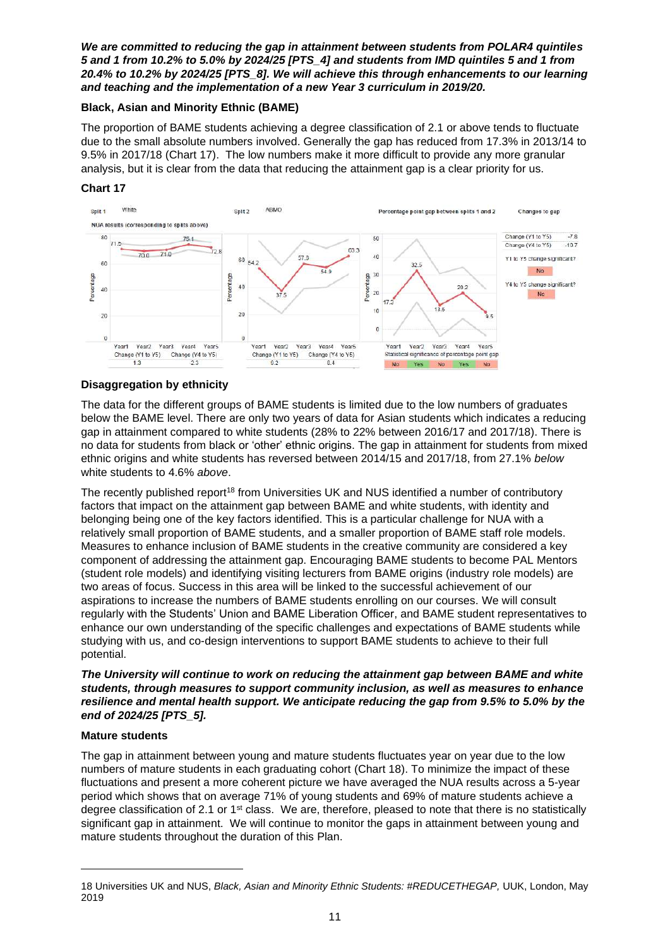*and teaching and the implementation of a new Year 3 curriculum in 2019/20. We are committed to reducing the gap in attainment between students from POLAR4 quintiles 5 and 1 from 10.2% to 5.0% by 2024/25 [PTS\_4] and students from IMD quintiles 5 and 1 from 20.4% to 10.2% by 2024/25 [PTS\_8]. We will achieve this through enhancements to our learning* 

#### <span id="page-13-0"></span>**Black, Asian and Minority Ethnic (BAME)**

 The proportion of BAME students achieving a degree classification of 2.1 or above tends to fluctuate due to the small absolute numbers involved. Generally the gap has reduced from 17.3% in 2013/14 to 9.5% in 2017/18 (Chart 17). The low numbers make it more difficult to provide any more granular analysis, but it is clear from the data that reducing the attainment gap is a clear priority for us.

### **Chart 17**



#### **Disaggregation by ethnicity**

The data for the different groups of BAME students is limited due to the low numbers of graduates below the BAME level. There are only two years of data for Asian students which indicates a reducing gap in attainment compared to white students (28% to 22% between 2016/17 and 2017/18). There is no data for students from black or 'other' ethnic origins. The gap in attainment for students from mixed ethnic origins and white students has reversed between 2014/15 and 2017/18, from 27.1% *below*  white students to 4.6% *above*.

 belonging being one of the key factors identified. This is a particular challenge for NUA with a aspirations to increase the numbers of BAME students enrolling on our courses. We will consult The recently published report<sup>18</sup> from Universities UK and NUS identified a number of contributory factors that impact on the attainment gap between BAME and white students, with identity and relatively small proportion of BAME students, and a smaller proportion of BAME staff role models. Measures to enhance inclusion of BAME students in the creative community are considered a key component of addressing the attainment gap. Encouraging BAME students to become PAL Mentors (student role models) and identifying visiting lecturers from BAME origins (industry role models) are two areas of focus. Success in this area will be linked to the successful achievement of our regularly with the Students' Union and BAME Liberation Officer, and BAME student representatives to enhance our own understanding of the specific challenges and expectations of BAME students while studying with us, and co-design interventions to support BAME students to achieve to their full potential.

#### *The University will continue to work on reducing the attainment gap between BAME and white students, through measures to support community inclusion, as well as measures to enhance resilience and mental health support. We anticipate reducing the gap from 9.5% to 5.0% by the end of 2024/25 [PTS\_5].*

#### <span id="page-13-1"></span>**Mature students**

 mature students throughout the duration of this Plan. The gap in attainment between young and mature students fluctuates year on year due to the low numbers of mature students in each graduating cohort (Chart 18). To minimize the impact of these fluctuations and present a more coherent picture we have averaged the NUA results across a 5-year period which shows that on average 71% of young students and 69% of mature students achieve a degree classification of 2.1 or 1<sup>st</sup> class. We are, therefore, pleased to note that there is no statistically significant gap in attainment. We will continue to monitor the gaps in attainment between young and

<sup>18</sup> Universities UK and NUS, *Black, Asian and Minority Ethnic Students: #REDUCETHEGAP,* UUK, London, May 2019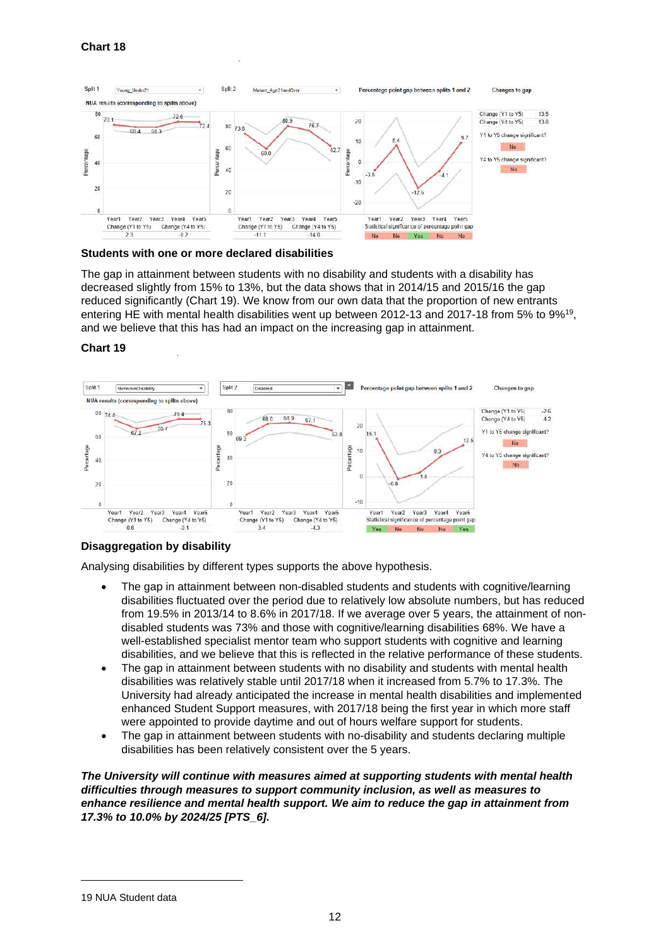

<span id="page-14-0"></span>**Students with one or more declared disabilities** 

 decreased slightly from 15% to 13%, but the data shows that in 2014/15 and 2015/16 the gap The gap in attainment between students with no disability and students with a disability has reduced significantly (Chart 19). We know from our own data that the proportion of new entrants entering HE with mental health disabilities went up between 2012-13 and 2017-18 from 5% to 9%19, and we believe that this has had an impact on the increasing gap in attainment.

#### **Chart 19**



#### **Disaggregation by disability**

Analysing disabilities by different types supports the above hypothesis.

- well-established specialist mentor team who support students with cognitive and learning disabilities, and we believe that this is reflected in the relative performance of these students. • The gap in attainment between non-disabled students and students with cognitive/learning disabilities fluctuated over the period due to relatively low absolute numbers, but has reduced from 19.5% in 2013/14 to 8.6% in 2017/18. If we average over 5 years, the attainment of nondisabled students was 73% and those with cognitive/learning disabilities 68%. We have a
- The gap in attainment between students with no disability and students with mental health disabilities was relatively stable until 2017/18 when it increased from 5.7% to 17.3%. The University had already anticipated the increase in mental health disabilities and implemented enhanced Student Support measures, with 2017/18 being the first year in which more staff were appointed to provide daytime and out of hours welfare support for students.
- The gap in attainment between students with no-disability and students declaring multiple disabilities has been relatively consistent over the 5 years.

*The University will continue with measures aimed at supporting students with mental health difficulties through measures to support community inclusion, as well as measures to enhance resilience and mental health support. We aim to reduce the gap in attainment from 17.3% to 10.0% by 2024/25 [PTS\_6].* 

<sup>19</sup> NUA Student data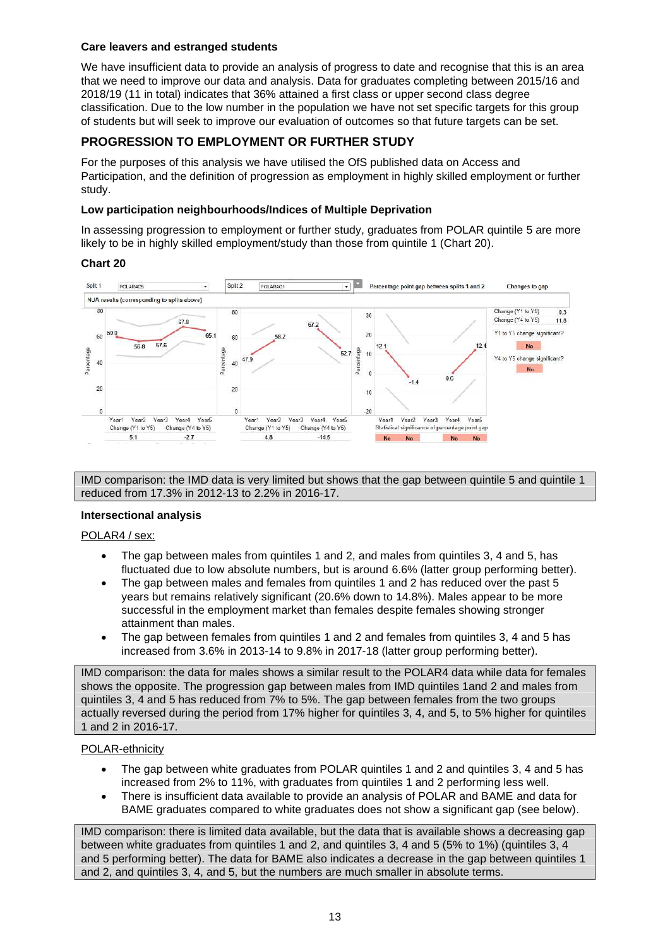#### <span id="page-15-0"></span>**Care leavers and estranged students**

We have insufficient data to provide an analysis of progress to date and recognise that this is an area that we need to improve our data and analysis. Data for graduates completing between 2015/16 and 2018/19 (11 in total) indicates that 36% attained a first class or upper second class degree classification. Due to the low number in the population we have not set specific targets for this group of students but will seek to improve our evaluation of outcomes so that future targets can be set.

# <span id="page-15-1"></span> **PROGRESSION TO EMPLOYMENT OR FURTHER STUDY**

For the purposes of this analysis we have utilised the OfS published data on Access and Participation, and the definition of progression as employment in highly skilled employment or further study.

#### <span id="page-15-2"></span>**Low participation neighbourhoods/Indices of Multiple Deprivation**

In assessing progression to employment or further study, graduates from POLAR quintile 5 are more likely to be in highly skilled employment/study than those from quintile 1 (Chart 20).

## **Chart 20**



IMD comparison: the IMD data is very limited but shows that the gap between quintile 5 and quintile 1 reduced from 17.3% in 2012-13 to 2.2% in 2016-17.

#### **Intersectional analysis**

#### POLAR4 / sex:

- The gap between males from quintiles 1 and 2, and males from quintiles 3, 4 and 5, has fluctuated due to low absolute numbers, but is around 6.6% (latter group performing better).
- The gap between males and females from quintiles 1 and 2 has reduced over the past 5 years but remains relatively significant (20.6% down to 14.8%). Males appear to be more successful in the employment market than females despite females showing stronger attainment than males.
- The gap between females from quintiles 1 and 2 and females from quintiles 3, 4 and 5 has increased from 3.6% in 2013-14 to 9.8% in 2017-18 (latter group performing better).

IMD comparison: the data for males shows a similar result to the POLAR4 data while data for females shows the opposite. The progression gap between males from IMD quintiles 1and 2 and males from quintiles 3, 4 and 5 has reduced from 7% to 5%. The gap between females from the two groups actually reversed during the period from 17% higher for quintiles 3, 4, and 5, to 5% higher for quintiles 1 and 2 in 2016-17.

#### POLAR-ethnicity

- The gap between white graduates from POLAR quintiles 1 and 2 and quintiles 3, 4 and 5 has increased from 2% to 11%, with graduates from quintiles 1 and 2 performing less well.
- There is insufficient data available to provide an analysis of POLAR and BAME and data for BAME graduates compared to white graduates does not show a significant gap (see below).

 IMD comparison: there is limited data available, but the data that is available shows a decreasing gap and 2, and quintiles 3, 4, and 5, but the numbers are much smaller in absolute terms. between white graduates from quintiles 1 and 2, and quintiles 3, 4 and 5 (5% to 1%) (quintiles 3, 4 and 5 performing better). The data for BAME also indicates a decrease in the gap between quintiles 1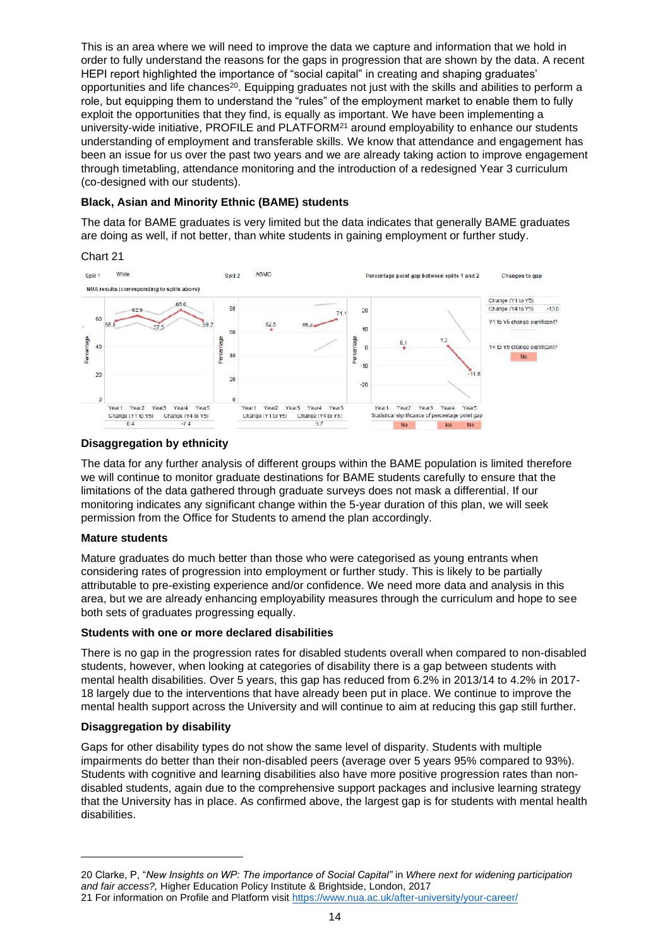This is an area where we will need to improve the data we capture and information that we hold in order to fully understand the reasons for the gaps in progression that are shown by the data. A recent HEPI report highlighted the importance of "social capital" in creating and shaping graduates' opportunities and life chances<sup>20</sup>. Equipping graduates not just with the skills and abilities to perform a role, but equipping them to understand the "rules" of the employment market to enable them to fully exploit the opportunities that they find, is equally as important. We have been implementing a university-wide initiative, PROFILE and PLATFORM<sup>21</sup> around employability to enhance our students understanding of employment and transferable skills. We know that attendance and engagement has been an issue for us over the past two years and we are already taking action to improve engagement through timetabling, attendance monitoring and the introduction of a redesigned Year 3 curriculum (co-designed with our students).

## <span id="page-16-0"></span>**Black, Asian and Minority Ethnic (BAME) students**

 The data for BAME graduates is very limited but the data indicates that generally BAME graduates are doing as well, if not better, than white students in gaining employment or further study.

#### Chart 21



#### **Disaggregation by ethnicity**

 limitations of the data gathered through graduate surveys does not mask a differential. If our The data for any further analysis of different groups within the BAME population is limited therefore we will continue to monitor graduate destinations for BAME students carefully to ensure that the monitoring indicates any significant change within the 5-year duration of this plan, we will seek permission from the Office for Students to amend the plan accordingly.

#### <span id="page-16-1"></span>**Mature students**

 Mature graduates do much better than those who were categorised as young entrants when considering rates of progression into employment or further study. This is likely to be partially attributable to pre-existing experience and/or confidence. We need more data and analysis in this area, but we are already enhancing employability measures through the curriculum and hope to see both sets of graduates progressing equally.

#### <span id="page-16-2"></span>**Students with one or more declared disabilities**

 There is no gap in the progression rates for disabled students overall when compared to non-disabled students, however, when looking at categories of disability there is a gap between students with mental health disabilities. Over 5 years, this gap has reduced from 6.2% in 2013/14 to 4.2% in 2017- 18 largely due to the interventions that have already been put in place. We continue to improve the mental health support across the University and will continue to aim at reducing this gap still further.

#### **Disaggregation by disability**

Gaps for other disability types do not show the same level of disparity. Students with multiple impairments do better than their non-disabled peers (average over 5 years 95% compared to 93%). Students with cognitive and learning disabilities also have more positive progression rates than nondisabled students, again due to the comprehensive support packages and inclusive learning strategy that the University has in place. As confirmed above, the largest gap is for students with mental health disabilities.

 20 Clarke, P, "*New Insights on WP: The importance of Social Capital"* in *Where next for widening participation and fair access?,* Higher Education Policy Institute & Brightside, London, 2017 21 For information on Profile and Platform visit https://www.nua.ac.uk/after-university/your-career/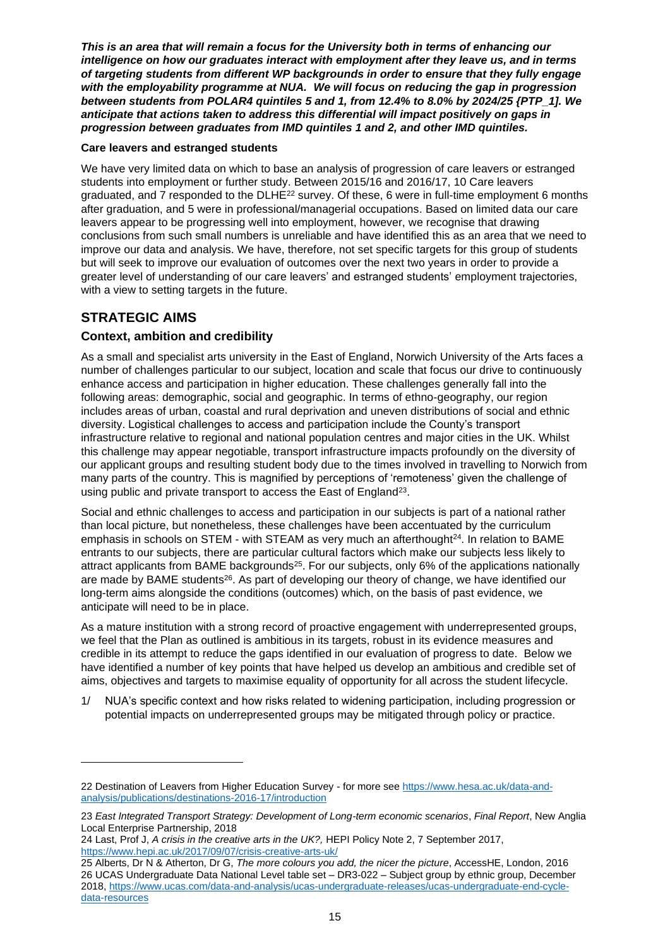*This is an area that will remain a focus for the University both in terms of enhancing our intelligence on how our graduates interact with employment after they leave us, and in terms of targeting students from different WP backgrounds in order to ensure that they fully engage with the employability programme at NUA. We will focus on reducing the gap in progression between students from POLAR4 quintiles 5 and 1, from 12.4% to 8.0% by 2024/25 {PTP\_1]. We anticipate that actions taken to address this differential will impact positively on gaps in progression between graduates from IMD quintiles 1 and 2, and other IMD quintiles.* 

### <span id="page-17-0"></span>**Care leavers and estranged students**

 greater level of understanding of our care leavers' and estranged students' employment trajectories, We have very limited data on which to base an analysis of progression of care leavers or estranged students into employment or further study. Between 2015/16 and 2016/17, 10 Care leavers graduated, and 7 responded to the DLHE22 survey. Of these, 6 were in full-time employment 6 months after graduation, and 5 were in professional/managerial occupations. Based on limited data our care leavers appear to be progressing well into employment, however, we recognise that drawing conclusions from such small numbers is unreliable and have identified this as an area that we need to improve our data and analysis. We have, therefore, not set specific targets for this group of students but will seek to improve our evaluation of outcomes over the next two years in order to provide a with a view to setting targets in the future.

# <span id="page-17-1"></span>**STRATEGIC AIMS**

# <span id="page-17-2"></span> **Context, ambition and credibility**

 As a small and specialist arts university in the East of England, Norwich University of the Arts faces a enhance access and participation in higher education. These challenges generally fall into the includes areas of urban, coastal and rural deprivation and uneven distributions of social and ethnic our applicant groups and resulting student body due to the times involved in travelling to Norwich from using public and private transport to access the East of England<sup>23</sup>. number of challenges particular to our subject, location and scale that focus our drive to continuously following areas: demographic, social and geographic. In terms of ethno-geography, our region diversity. Logistical challenges to access and participation include the County's transport infrastructure relative to regional and national population centres and major cities in the UK. Whilst this challenge may appear negotiable, transport infrastructure impacts profoundly on the diversity of many parts of the country. This is magnified by perceptions of 'remoteness' given the challenge of

Social and ethnic challenges to access and participation in our subjects is part of a national rather than local picture, but nonetheless, these challenges have been accentuated by the curriculum emphasis in schools on STEM - with STEAM as very much an afterthought $^{24}$ . In relation to BAME entrants to our subjects, there are particular cultural factors which make our subjects less likely to attract applicants from BAME backgrounds<sup>25</sup>. For our subjects, only 6% of the applications nationally are made by BAME students<sup>26</sup>. As part of developing our theory of change, we have identified our long-term aims alongside the conditions (outcomes) which, on the basis of past evidence, we anticipate will need to be in place.

 we feel that the Plan as outlined is ambitious in its targets, robust in its evidence measures and As a mature institution with a strong record of proactive engagement with underrepresented groups, credible in its attempt to reduce the gaps identified in our evaluation of progress to date. Below we have identified a number of key points that have helped us develop an ambitious and credible set of aims, objectives and targets to maximise equality of opportunity for all across the student lifecycle.

 potential impacts on underrepresented groups may be mitigated through policy or practice. 1/ NUA's specific context and how risks related to widening participation, including progression or

<sup>22</sup> Destination of Leavers from Higher Education Survey - for more se[e https://www.hesa.ac.uk/data-and](https://www.hesa.ac.uk/data-and-analysis/publications/destinations-2016-17/introduction)[analysis/publications/destinations-2016-17/introduction](https://www.hesa.ac.uk/data-and-analysis/publications/destinations-2016-17/introduction) 

<sup>23</sup> *East Integrated Transport Strategy: Development of Long-term economic scenarios*, *Final Report*, New Anglia Local Enterprise Partnership, 2018

 24 Last, Prof J, *A crisis in the creative arts in the UK?,* HEPI Policy Note 2, 7 September 2017, <https://www.hepi.ac.uk/2017/09/07/crisis-creative-arts-uk/>

 26 UCAS Undergraduate Data National Level table set – DR3-022 – Subject group by ethnic group, December 25 Alberts, Dr N & Atherton, Dr G, *The more colours you add, the nicer the picture*, AccessHE, London, 2016 2018, [https://www.ucas.com/data-and-analysis/ucas-undergraduate-releases/ucas-undergraduate-end-cycle](https://www.ucas.com/data-and-analysis/ucas-undergraduate-releases/ucas-undergraduate-end-cycle-data-resources)[data-resources](https://www.ucas.com/data-and-analysis/ucas-undergraduate-releases/ucas-undergraduate-end-cycle-data-resources)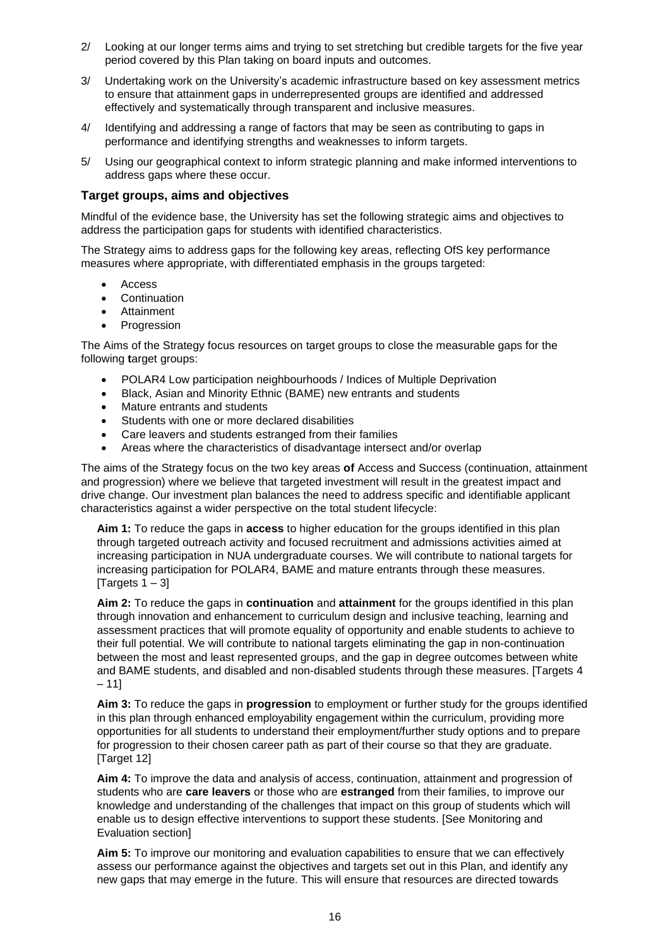- 2/ Looking at our longer terms aims and trying to set stretching but credible targets for the five year period covered by this Plan taking on board inputs and outcomes.
- 3/ Undertaking work on the University's academic infrastructure based on key assessment metrics to ensure that attainment gaps in underrepresented groups are identified and addressed effectively and systematically through transparent and inclusive measures.
- 4/ Identifying and addressing a range of factors that may be seen as contributing to gaps in performance and identifying strengths and weaknesses to inform targets.
- 5/ Using our geographical context to inform strategic planning and make informed interventions to address gaps where these occur.

#### <span id="page-18-0"></span> **Target groups, aims and objectives**

 Mindful of the evidence base, the University has set the following strategic aims and objectives to address the participation gaps for students with identified characteristics.

The Strategy aims to address gaps for the following key areas, reflecting OfS key performance measures where appropriate, with differentiated emphasis in the groups targeted:

- Access
- Continuation
- Attainment
- Progression

The Aims of the Strategy focus resources on target groups to close the measurable gaps for the following **t**arget groups:

- POLAR4 Low participation neighbourhoods / Indices of Multiple Deprivation
- Black, Asian and Minority Ethnic (BAME) new entrants and students
- Mature entrants and students
- Students with one or more declared disabilities
- Care leavers and students estranged from their families
- Areas where the characteristics of disadvantage intersect and/or overlap

The aims of the Strategy focus on the two key areas **of** Access and Success (continuation, attainment and progression) where we believe that targeted investment will result in the greatest impact and drive change. Our investment plan balances the need to address specific and identifiable applicant characteristics against a wider perspective on the total student lifecycle:

 **Aim 1:** To reduce the gaps in **access** to higher education for the groups identified in this plan through targeted outreach activity and focused recruitment and admissions activities aimed at increasing participation in NUA undergraduate courses. We will contribute to national targets for increasing participation for POLAR4, BAME and mature entrants through these measures. [Targets  $1 - 3$ ]

 **Aim 2:** To reduce the gaps in **continuation** and **attainment** for the groups identified in this plan between the most and least represented groups, and the gap in degree outcomes between white through innovation and enhancement to curriculum design and inclusive teaching, learning and assessment practices that will promote equality of opportunity and enable students to achieve to their full potential. We will contribute to national targets eliminating the gap in non-continuation and BAME students, and disabled and non-disabled students through these measures. [Targets 4  $-11$ ]

 **Aim 3:** To reduce the gaps in **progression** to employment or further study for the groups identified in this plan through enhanced employability engagement within the curriculum, providing more opportunities for all students to understand their employment/further study options and to prepare for progression to their chosen career path as part of their course so that they are graduate. [Target 12]

**Aim 4:** To improve the data and analysis of access, continuation, attainment and progression of students who are **care leavers** or those who are **estranged** from their families, to improve our knowledge and understanding of the challenges that impact on this group of students which will enable us to design effective interventions to support these students. [See Monitoring and Evaluation section]

**Aim 5:** To improve our monitoring and evaluation capabilities to ensure that we can effectively assess our performance against the objectives and targets set out in this Plan, and identify any new gaps that may emerge in the future. This will ensure that resources are directed towards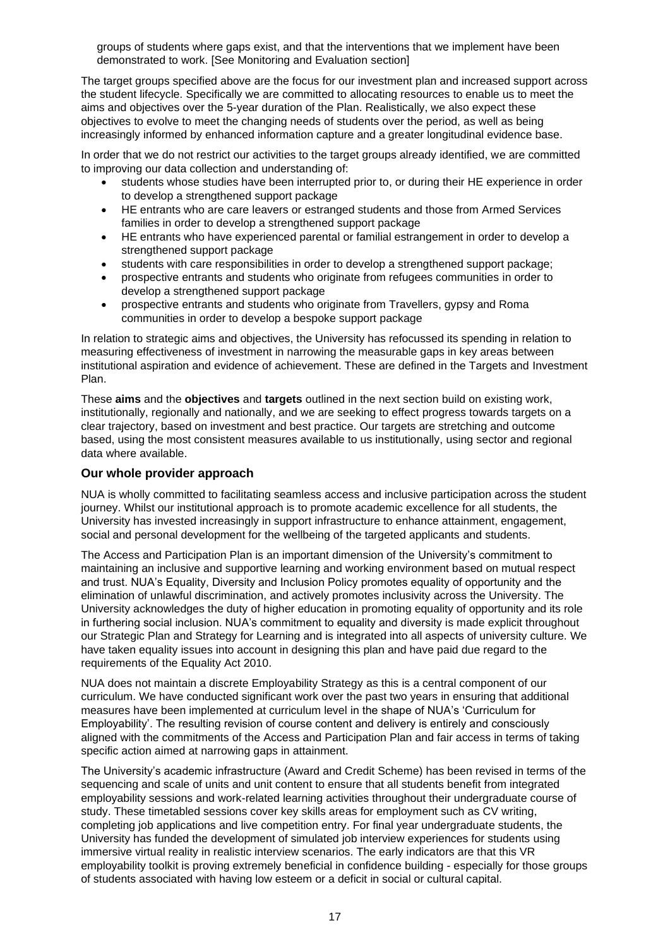groups of students where gaps exist, and that the interventions that we implement have been demonstrated to work. [See Monitoring and Evaluation section]

 the student lifecycle. Specifically we are committed to allocating resources to enable us to meet the aims and objectives over the 5-year duration of the Plan. Realistically, we also expect these The target groups specified above are the focus for our investment plan and increased support across objectives to evolve to meet the changing needs of students over the period, as well as being increasingly informed by enhanced information capture and a greater longitudinal evidence base.

In order that we do not restrict our activities to the target groups already identified, we are committed to improving our data collection and understanding of:

- students whose studies have been interrupted prior to, or during their HE experience in order to develop a strengthened support package
- families in order to develop a strengthened support package • HE entrants who are care leavers or estranged students and those from Armed Services
- HE entrants who have experienced parental or familial estrangement in order to develop a strengthened support package
- students with care responsibilities in order to develop a strengthened support package;
- prospective entrants and students who originate from refugees communities in order to develop a strengthened support package
- prospective entrants and students who originate from Travellers, gypsy and Roma communities in order to develop a bespoke support package

In relation to strategic aims and objectives, the University has refocussed its spending in relation to measuring effectiveness of investment in narrowing the measurable gaps in key areas between institutional aspiration and evidence of achievement. These are defined in the Targets and Investment Plan.

 institutionally, regionally and nationally, and we are seeking to effect progress towards targets on a These **aims** and the **objectives** and **targets** outlined in the next section build on existing work, clear trajectory, based on investment and best practice. Our targets are stretching and outcome based, using the most consistent measures available to us institutionally, using sector and regional data where available.

#### <span id="page-19-0"></span>**Our whole provider approach**

NUA is wholly committed to facilitating seamless access and inclusive participation across the student journey. Whilst our institutional approach is to promote academic excellence for all students, the University has invested increasingly in support infrastructure to enhance attainment, engagement, social and personal development for the wellbeing of the targeted applicants and students.

 maintaining an inclusive and supportive learning and working environment based on mutual respect elimination of unlawful discrimination, and actively promotes inclusivity across the University. The University acknowledges the duty of higher education in promoting equality of opportunity and its role The Access and Participation Plan is an important dimension of the University's commitment to and trust. NUA's Equality, Diversity and Inclusion Policy promotes equality of opportunity and the in furthering social inclusion. NUA's commitment to equality and diversity is made explicit throughout our Strategic Plan and Strategy for Learning and is integrated into all aspects of university culture. We have taken equality issues into account in designing this plan and have paid due regard to the requirements of the Equality Act 2010.

 measures have been implemented at curriculum level in the shape of NUA's 'Curriculum for aligned with the commitments of the Access and Participation Plan and fair access in terms of taking specific action aimed at narrowing gaps in attainment. NUA does not maintain a discrete Employability Strategy as this is a central component of our curriculum. We have conducted significant work over the past two years in ensuring that additional Employability'. The resulting revision of course content and delivery is entirely and consciously

 University has funded the development of simulated job interview experiences for students using The University's academic infrastructure (Award and Credit Scheme) has been revised in terms of the sequencing and scale of units and unit content to ensure that all students benefit from integrated employability sessions and work-related learning activities throughout their undergraduate course of study. These timetabled sessions cover key skills areas for employment such as CV writing, completing job applications and live competition entry. For final year undergraduate students, the immersive virtual reality in realistic interview scenarios. The early indicators are that this VR employability toolkit is proving extremely beneficial in confidence building - especially for those groups of students associated with having low esteem or a deficit in social or cultural capital.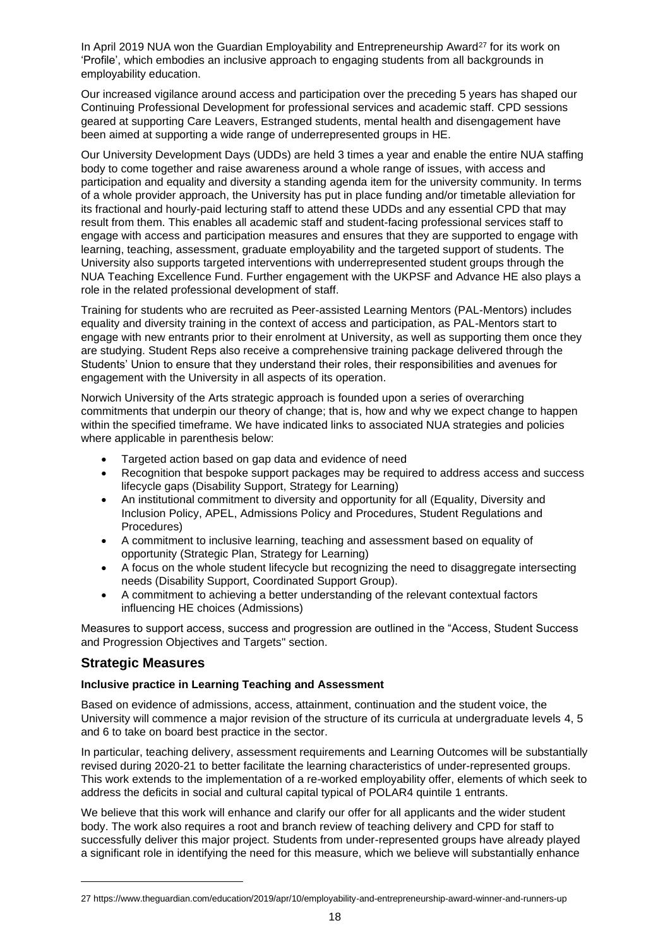In April 2019 NUA won the Guardian Employability and Entrepreneurship Award<sup>27</sup> for its work on 'Profile', which embodies an inclusive approach to engaging students from all backgrounds in employability education.

Our increased vigilance around access and participation over the preceding 5 years has shaped our Continuing Professional Development for professional services and academic staff. CPD sessions geared at supporting Care Leavers, Estranged students, mental health and disengagement have been aimed at supporting a wide range of underrepresented groups in HE.

 of a whole provider approach, the University has put in place funding and/or timetable alleviation for NUA Teaching Excellence Fund. Further engagement with the UKPSF and Advance HE also plays a Our University Development Days (UDDs) are held 3 times a year and enable the entire NUA staffing body to come together and raise awareness around a whole range of issues, with access and participation and equality and diversity a standing agenda item for the university community. In terms its fractional and hourly-paid lecturing staff to attend these UDDs and any essential CPD that may result from them. This enables all academic staff and student-facing professional services staff to engage with access and participation measures and ensures that they are supported to engage with learning, teaching, assessment, graduate employability and the targeted support of students. The University also supports targeted interventions with underrepresented student groups through the role in the related professional development of staff.

 engagement with the University in all aspects of its operation. Training for students who are recruited as Peer-assisted Learning Mentors (PAL-Mentors) includes equality and diversity training in the context of access and participation, as PAL-Mentors start to engage with new entrants prior to their enrolment at University, as well as supporting them once they are studying. Student Reps also receive a comprehensive training package delivered through the Students' Union to ensure that they understand their roles, their responsibilities and avenues for

 within the specified timeframe. We have indicated links to associated NUA strategies and policies Norwich University of the Arts strategic approach is founded upon a series of overarching commitments that underpin our theory of change; that is, how and why we expect change to happen where applicable in parenthesis below:

- Targeted action based on gap data and evidence of need
- Recognition that bespoke support packages may be required to address access and success lifecycle gaps (Disability Support, Strategy for Learning)
- • An institutional commitment to diversity and opportunity for all (Equality, Diversity and Inclusion Policy, APEL, Admissions Policy and Procedures, Student Regulations and Procedures)
- A commitment to inclusive learning, teaching and assessment based on equality of opportunity (Strategic Plan, Strategy for Learning)
- A focus on the whole student lifecycle but recognizing the need to disaggregate intersecting needs (Disability Support, Coordinated Support Group).
- A commitment to achieving a better understanding of the relevant contextual factors influencing HE choices (Admissions)

Measures to support access, success and progression are outlined in the "Access, Student Success and Progression Objectives and Targets" section.

# <span id="page-20-0"></span>**Strategic Measures**

#### **Inclusive practice in Learning Teaching and Assessment**

 Based on evidence of admissions, access, attainment, continuation and the student voice, the University will commence a major revision of the structure of its curricula at undergraduate levels 4, 5 and 6 to take on board best practice in the sector.

 This work extends to the implementation of a re-worked employability offer, elements of which seek to In particular, teaching delivery, assessment requirements and Learning Outcomes will be substantially revised during 2020-21 to better facilitate the learning characteristics of under-represented groups. address the deficits in social and cultural capital typical of POLAR4 quintile 1 entrants.

We believe that this work will enhance and clarify our offer for all applicants and the wider student body. The work also requires a root and branch review of teaching delivery and CPD for staff to successfully deliver this major project. Students from under-represented groups have already played a significant role in identifying the need for this measure, which we believe will substantially enhance

<sup>27</sup><https://www.theguardian.com/education/2019/apr/10/employability-and-entrepreneurship-award-winner-and-runners-up>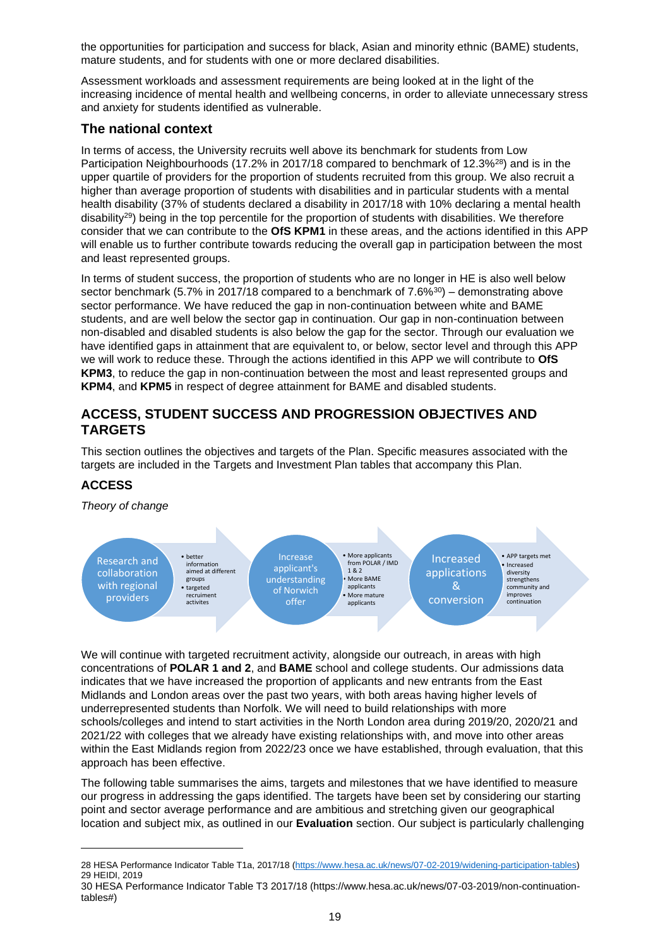the opportunities for participation and success for black, Asian and minority ethnic (BAME) students, mature students, and for students with one or more declared disabilities.

 Assessment workloads and assessment requirements are being looked at in the light of the increasing incidence of mental health and wellbeing concerns, in order to alleviate unnecessary stress and anxiety for students identified as vulnerable.

# <span id="page-21-0"></span>**The national context**

 health disability (37% of students declared a disability in 2017/18 with 10% declaring a mental health consider that we can contribute to the **OfS KPM1** in these areas, and the actions identified in this APP In terms of access, the University recruits well above its benchmark for students from Low Participation Neighbourhoods (17.2% in 2017/18 compared to benchmark of 12.3%<sup>28</sup>) and is in the upper quartile of providers for the proportion of students recruited from this group. We also recruit a higher than average proportion of students with disabilities and in particular students with a mental disability29) being in the top percentile for the proportion of students with disabilities. We therefore will enable us to further contribute towards reducing the overall gap in participation between the most and least represented groups.

 In terms of student success, the proportion of students who are no longer in HE is also well below non-disabled and disabled students is also below the gap for the sector. Through our evaluation we have identified gaps in attainment that are equivalent to, or below, sector level and through this APP we will work to reduce these. Through the actions identified in this APP we will contribute to **OfS KPM4**, and **KPM5** in respect of degree attainment for BAME and disabled students. sector benchmark (5.7% in 2017/18 compared to a benchmark of  $7.6\%^{30}$ ) – demonstrating above sector performance. We have reduced the gap in non-continuation between white and BAME students, and are well below the sector gap in continuation. Our gap in non-continuation between **KPM3**, to reduce the gap in non-continuation between the most and least represented groups and

# <span id="page-21-1"></span>**ACCESS, STUDENT SUCCESS AND PROGRESSION OBJECTIVES AND TARGETS**

 targets are included in the Targets and Investment Plan tables that accompany this Plan. This section outlines the objectives and targets of the Plan. Specific measures associated with the

# <span id="page-21-2"></span>**ACCESS**

*Theory of change* 



We will continue with targeted recruitment activity, alongside our outreach, in areas with high concentrations of **POLAR 1 and 2**, and **BAME** school and college students. Our admissions data indicates that we have increased the proportion of applicants and new entrants from the East Midlands and London areas over the past two years, with both areas having higher levels of underrepresented students than Norfolk. We will need to build relationships with more schools/colleges and intend to start activities in the North London area during 2019/20, 2020/21 and 2021/22 with colleges that we already have existing relationships with, and move into other areas within the East Midlands region from 2022/23 once we have established, through evaluation, that this approach has been effective.

The following table summarises the aims, targets and milestones that we have identified to measure our progress in addressing the gaps identified. The targets have been set by considering our starting point and sector average performance and are ambitious and stretching given our geographical location and subject mix, as outlined in our **Evaluation** section. Our subject is particularly challenging

 28 HESA Performance Indicator Table T1a, 2017/18 [\(https://www.hesa.ac.uk/news/07-02-2019/widening-participation-tables\)](https://www.hesa.ac.uk/news/07-02-2019/widening-participation-tables) 29 HEIDI, 2019

<sup>30</sup> HESA Performance Indicator Table T3 2017/18 (<https://www.hesa.ac.uk/news/07-03-2019/non-continuation>tables#)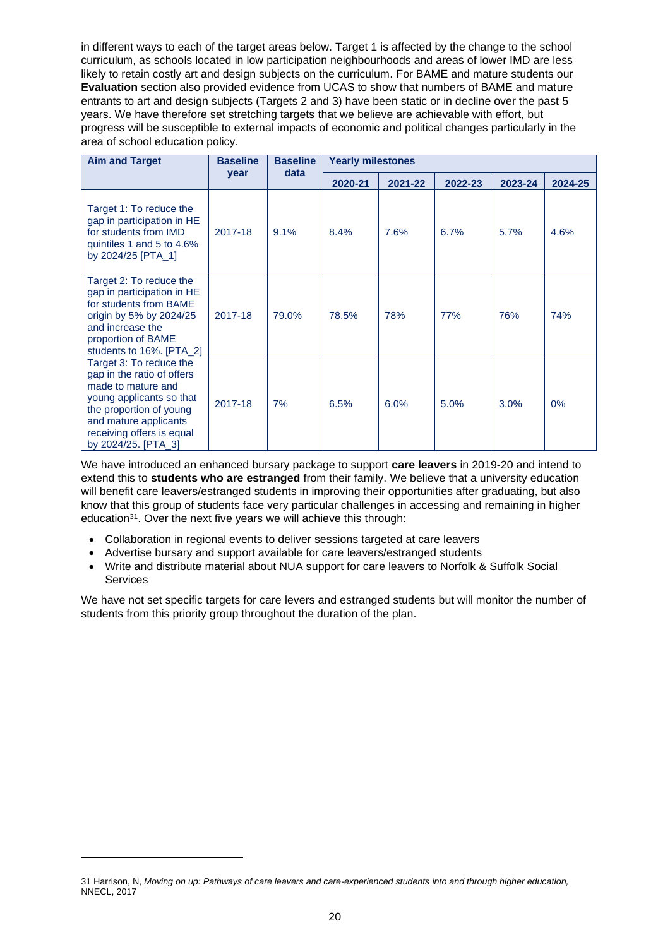**Evaluation** section also provided evidence from UCAS to show that numbers of BAME and mature progress will be susceptible to external impacts of economic and political changes particularly in the in different ways to each of the target areas below. Target 1 is affected by the change to the school curriculum, as schools located in low participation neighbourhoods and areas of lower IMD are less likely to retain costly art and design subjects on the curriculum. For BAME and mature students our entrants to art and design subjects (Targets 2 and 3) have been static or in decline over the past 5 years. We have therefore set stretching targets that we believe are achievable with effort, but area of school education policy.

| <b>Aim and Target</b>                                                                                                                                                                                           | <b>Baseline</b> | <b>Baseline</b> | <b>Yearly milestones</b> |         |            |         |         |  |  |  |
|-----------------------------------------------------------------------------------------------------------------------------------------------------------------------------------------------------------------|-----------------|-----------------|--------------------------|---------|------------|---------|---------|--|--|--|
|                                                                                                                                                                                                                 | data<br>year    |                 | 2020-21                  | 2021-22 | 2022-23    | 2023-24 | 2024-25 |  |  |  |
| Target 1: To reduce the<br>gap in participation in HE<br>for students from IMD<br>quintiles 1 and 5 to 4.6%<br>by 2024/25 [PTA_1]                                                                               | 2017-18         | 9.1%            | 8.4%                     | 7.6%    | 6.7%       | 5.7%    | 4.6%    |  |  |  |
| Target 2: To reduce the<br>gap in participation in HE<br>for students from BAME<br>origin by 5% by 2024/25<br>and increase the<br>proportion of BAME<br>students to 16%. [PTA_2]                                | 2017-18         | 79.0%           | 78%<br>78.5%             |         | <b>77%</b> | 76%     | 74%     |  |  |  |
| Target 3: To reduce the<br>gap in the ratio of offers<br>made to mature and<br>young applicants so that<br>the proportion of young<br>and mature applicants<br>receiving offers is equal<br>by 2024/25. [PTA 3] | 2017-18         | 7%              | 6.5%                     | 6.0%    | 5.0%       | 3.0%    | 0%      |  |  |  |

 We have introduced an enhanced bursary package to support **care leavers** in 2019-20 and intend to extend this to **students who are estranged** from their family. We believe that a university education will benefit care leavers/estranged students in improving their opportunities after graduating, but also know that this group of students face very particular challenges in accessing and remaining in higher education<sup>31</sup>. Over the next five years we will achieve this through:

- Collaboration in regional events to deliver sessions targeted at care leavers
- Advertise bursary and support available for care leavers/estranged students
- Write and distribute material about NUA support for care leavers to Norfolk & Suffolk Social **Services**

<span id="page-22-0"></span>We have not set specific targets for care levers and estranged students but will monitor the number of students from this priority group throughout the duration of the plan.

 31 Harrison, N, *Moving on up: Pathways of care leavers and care-experienced students into and through higher education,*  NNECL, 2017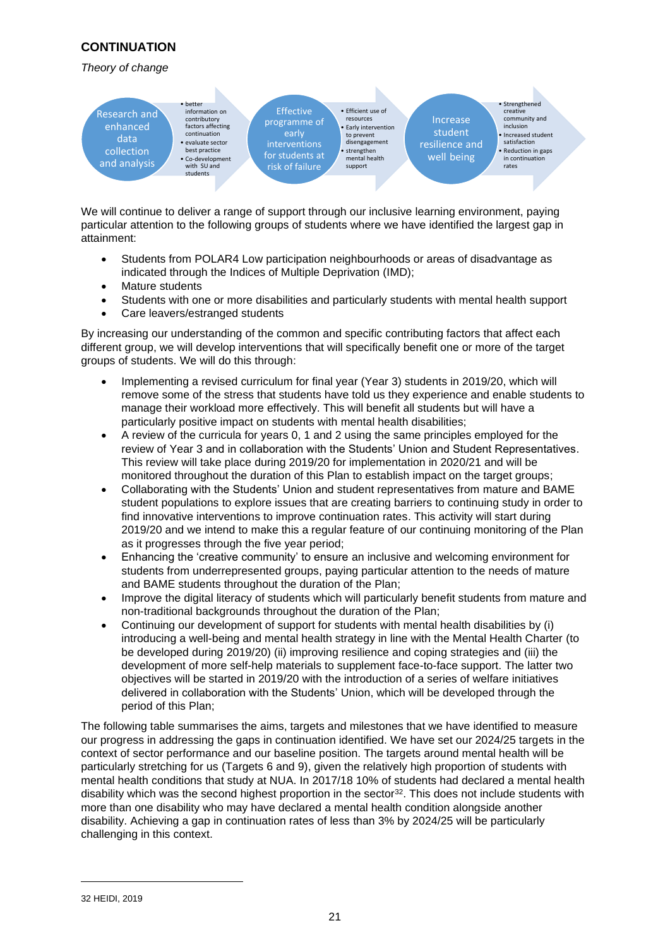# **CONTINUATION**

*Theory of change* 



 We will continue to deliver a range of support through our inclusive learning environment, paying particular attention to the following groups of students where we have identified the largest gap in attainment:

- Students from POLAR4 Low participation neighbourhoods or areas of disadvantage as indicated through the Indices of Multiple Deprivation (IMD);
- Mature students
- Students with one or more disabilities and particularly students with mental health support
- Care leavers/estranged students

By increasing our understanding of the common and specific contributing factors that affect each different group, we will develop interventions that will specifically benefit one or more of the target groups of students. We will do this through:

- Implementing a revised curriculum for final year (Year 3) students in 2019/20, which will remove some of the stress that students have told us they experience and enable students to manage their workload more effectively. This will benefit all students but will have a particularly positive impact on students with mental health disabilities;
- • A review of the curricula for years 0, 1 and 2 using the same principles employed for the This review will take place during 2019/20 for implementation in 2020/21 and will be review of Year 3 and in collaboration with the Students' Union and Student Representatives. monitored throughout the duration of this Plan to establish impact on the target groups;
- 2019/20 and we intend to make this a regular feature of our continuing monitoring of the Plan • Collaborating with the Students' Union and student representatives from mature and BAME student populations to explore issues that are creating barriers to continuing study in order to find innovative interventions to improve continuation rates. This activity will start during as it progresses through the five year period;
- Enhancing the 'creative community' to ensure an inclusive and welcoming environment for students from underrepresented groups, paying particular attention to the needs of mature and BAME students throughout the duration of the Plan;
- • Improve the digital literacy of students which will particularly benefit students from mature and non-traditional backgrounds throughout the duration of the Plan;
- • Continuing our development of support for students with mental health disabilities by (i) introducing a well-being and mental health strategy in line with the Mental Health Charter (to be developed during 2019/20) (ii) improving resilience and coping strategies and (iii) the development of more self-help materials to supplement face-to-face support. The latter two objectives will be started in 2019/20 with the introduction of a series of welfare initiatives delivered in collaboration with the Students' Union, which will be developed through the period of this Plan;

 particularly stretching for us (Targets 6 and 9), given the relatively high proportion of students with more than one disability who may have declared a mental health condition alongside another disability. Achieving a gap in continuation rates of less than 3% by 2024/25 will be particularly The following table summarises the aims, targets and milestones that we have identified to measure our progress in addressing the gaps in continuation identified. We have set our 2024/25 targets in the context of sector performance and our baseline position. The targets around mental health will be mental health conditions that study at NUA. In 2017/18 10% of students had declared a mental health disability which was the second highest proportion in the sector<sup>32</sup>. This does not include students with challenging in this context.

32 HEIDI, 2019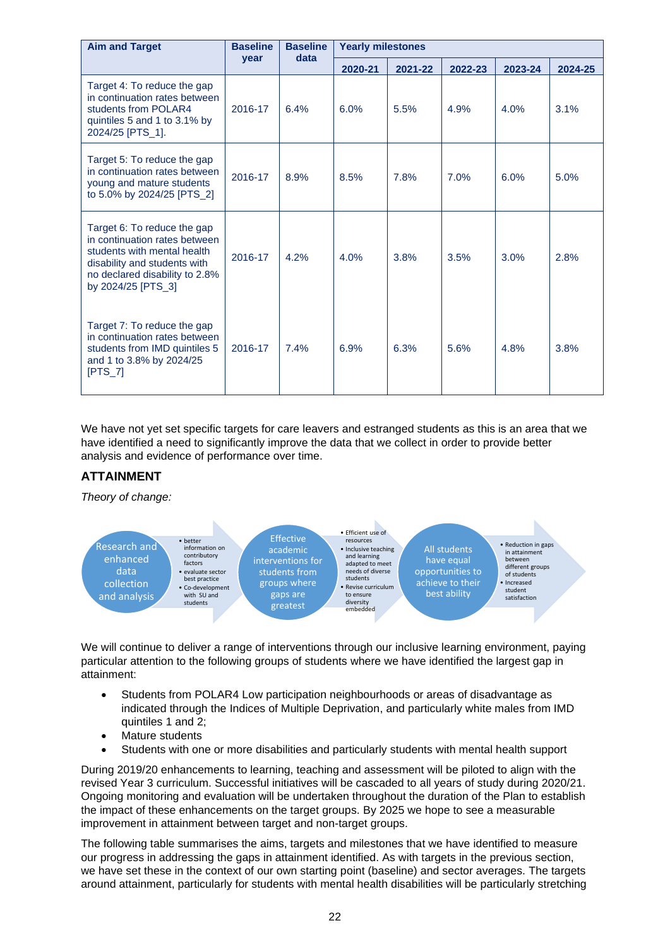| <b>Aim and Target</b>                                                                                                                                                               | <b>Baseline</b>         | <b>Baseline</b><br>data | <b>Yearly milestones</b> |         |         |         |         |  |  |  |
|-------------------------------------------------------------------------------------------------------------------------------------------------------------------------------------|-------------------------|-------------------------|--------------------------|---------|---------|---------|---------|--|--|--|
|                                                                                                                                                                                     | year                    |                         | 2020-21                  | 2021-22 | 2022-23 | 2023-24 | 2024-25 |  |  |  |
| Target 4: To reduce the gap<br>in continuation rates between<br>students from POLAR4<br>quintiles 5 and 1 to 3.1% by<br>2024/25 [PTS_1].                                            | 2016-17                 | 6.4%                    | 6.0%                     | 5.5%    | 4.9%    | 4.0%    | 3.1%    |  |  |  |
| Target 5: To reduce the gap<br>in continuation rates between<br>young and mature students<br>to 5.0% by 2024/25 [PTS 2]                                                             | 2016-17<br>8.9%<br>8.5% |                         | 7.8%                     | 7.0%    | 6.0%    | 5.0%    |         |  |  |  |
| Target 6: To reduce the gap<br>in continuation rates between<br>students with mental health<br>disability and students with<br>no declared disability to 2.8%<br>by 2024/25 [PTS_3] | 2016-17                 | 4.2%                    | 4.0%                     | 3.8%    | 3.5%    | 3.0%    | 2.8%    |  |  |  |
| Target 7: To reduce the gap<br>in continuation rates between<br>students from IMD quintiles 5<br>and 1 to 3.8% by 2024/25<br>$[PTS_7]$                                              | 2016-17                 | 7.4%                    | 6.9%                     | 6.3%    | 5.6%    | 4.8%    | 3.8%    |  |  |  |

 have identified a need to significantly improve the data that we collect in order to provide better We have not yet set specific targets for care leavers and estranged students as this is an area that we analysis and evidence of performance over time.

# <span id="page-24-0"></span>**ATTAINMENT**

*Theory of change:* 



We will continue to deliver a range of interventions through our inclusive learning environment, paying particular attention to the following groups of students where we have identified the largest gap in attainment:

- Students from POLAR4 Low participation neighbourhoods or areas of disadvantage as indicated through the Indices of Multiple Deprivation, and particularly white males from IMD quintiles 1 and 2;
- Mature students
- Students with one or more disabilities and particularly students with mental health support

During 2019/20 enhancements to learning, teaching and assessment will be piloted to align with the revised Year 3 curriculum. Successful initiatives will be cascaded to all years of study during 2020/21. Ongoing monitoring and evaluation will be undertaken throughout the duration of the Plan to establish the impact of these enhancements on the target groups. By 2025 we hope to see a measurable improvement in attainment between target and non-target groups.

 our progress in addressing the gaps in attainment identified. As with targets in the previous section, around attainment, particularly for students with mental health disabilities will be particularly stretching The following table summarises the aims, targets and milestones that we have identified to measure we have set these in the context of our own starting point (baseline) and sector averages. The targets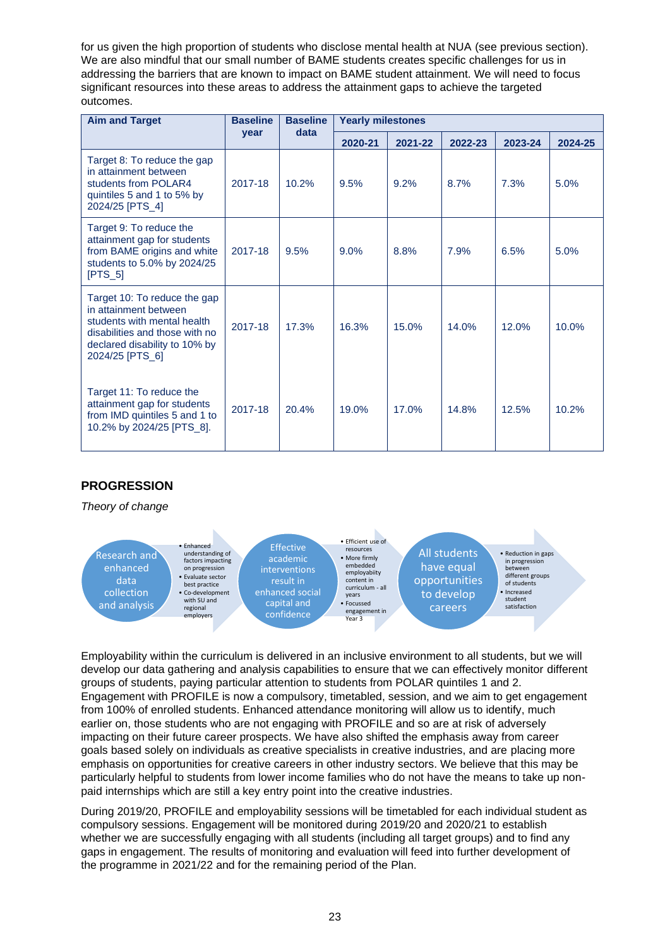for us given the high proportion of students who disclose mental health at NUA (see previous section). We are also mindful that our small number of BAME students creates specific challenges for us in addressing the barriers that are known to impact on BAME student attainment. We will need to focus significant resources into these areas to address the attainment gaps to achieve the targeted outcomes.

| <b>Aim and Target</b>                                                                                                                                                      | <b>Baseline</b> | <b>Baseline</b><br>data | <b>Yearly milestones</b> |         |         |         |         |  |  |
|----------------------------------------------------------------------------------------------------------------------------------------------------------------------------|-----------------|-------------------------|--------------------------|---------|---------|---------|---------|--|--|
|                                                                                                                                                                            | <b>vear</b>     |                         | 2020-21                  | 2021-22 | 2022-23 | 2023-24 | 2024-25 |  |  |
| Target 8: To reduce the gap<br>in attainment between<br>students from POLAR4<br>quintiles 5 and 1 to 5% by<br>2024/25 [PTS_4]                                              | 2017-18         | 10.2%                   | 9.5%                     | 9.2%    | 8.7%    | 7.3%    | 5.0%    |  |  |
| Target 9: To reduce the<br>attainment gap for students<br>from BAME origins and white<br>students to 5.0% by 2024/25<br>$[PTS_5]$                                          | 2017-18         | 9.5%                    | 9.0%                     | 8.8%    | 7.9%    | 6.5%    | 5.0%    |  |  |
| Target 10: To reduce the gap<br>in attainment between<br>students with mental health<br>disabilities and those with no<br>declared disability to 10% by<br>2024/25 [PTS_6] | 2017-18         | 17.3%                   | 16.3%                    | 15.0%   | 14.0%   | 12.0%   | 10.0%   |  |  |
| Target 11: To reduce the<br>attainment gap for students<br>from IMD quintiles 5 and 1 to<br>10.2% by 2024/25 [PTS_8].                                                      | 2017-18         | 20.4%                   | 19.0%                    | 17.0%   | 14.8%   | 12.5%   | 10.2%   |  |  |

# <span id="page-25-0"></span>**PROGRESSION**

*Theory of change* 



 from 100% of enrolled students. Enhanced attendance monitoring will allow us to identify, much Employability within the curriculum is delivered in an inclusive environment to all students, but we will develop our data gathering and analysis capabilities to ensure that we can effectively monitor different groups of students, paying particular attention to students from POLAR quintiles 1 and 2. Engagement with PROFILE is now a compulsory, timetabled, session, and we aim to get engagement earlier on, those students who are not engaging with PROFILE and so are at risk of adversely impacting on their future career prospects. We have also shifted the emphasis away from career goals based solely on individuals as creative specialists in creative industries, and are placing more emphasis on opportunities for creative careers in other industry sectors. We believe that this may be particularly helpful to students from lower income families who do not have the means to take up nonpaid internships which are still a key entry point into the creative industries.

 the programme in 2021/22 and for the remaining period of the Plan. During 2019/20, PROFILE and employability sessions will be timetabled for each individual student as compulsory sessions. Engagement will be monitored during 2019/20 and 2020/21 to establish whether we are successfully engaging with all students (including all target groups) and to find any gaps in engagement. The results of monitoring and evaluation will feed into further development of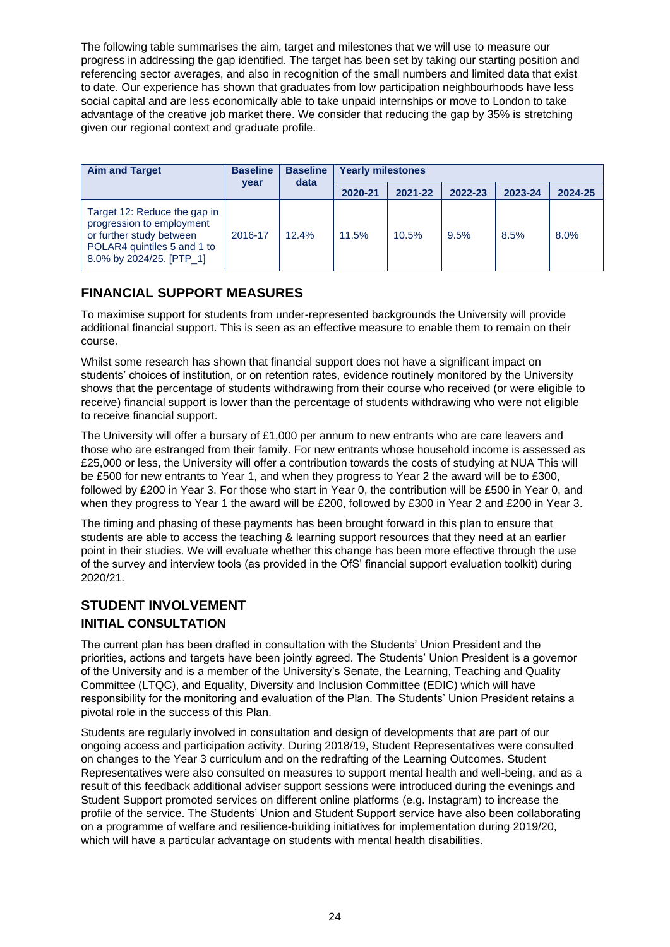advantage of the creative job market there. We consider that reducing the gap by 35% is stretching The following table summarises the aim, target and milestones that we will use to measure our progress in addressing the gap identified. The target has been set by taking our starting position and referencing sector averages, and also in recognition of the small numbers and limited data that exist to date. Our experience has shown that graduates from low participation neighbourhoods have less social capital and are less economically able to take unpaid internships or move to London to take given our regional context and graduate profile.

| <b>Aim and Target</b>                                                                                                                            | <b>Baseline</b> | <b>Baseline</b> | <b>Yearly milestones</b> |         |      |         |         |  |  |  |
|--------------------------------------------------------------------------------------------------------------------------------------------------|-----------------|-----------------|--------------------------|---------|------|---------|---------|--|--|--|
|                                                                                                                                                  | year            | data            | 2020-21                  | 2021-22 |      | 2023-24 | 2024-25 |  |  |  |
| Target 12: Reduce the gap in<br>progression to employment<br>or further study between<br>POLAR4 quintiles 5 and 1 to<br>8.0% by 2024/25. [PTP 1] | 2016-17         | 12.4%           | 11.5%                    | 10.5%   | 9.5% | 8.5%    | 8.0%    |  |  |  |

# <span id="page-26-0"></span>**FINANCIAL SUPPORT MEASURES**

 To maximise support for students from under-represented backgrounds the University will provide additional financial support. This is seen as an effective measure to enable them to remain on their course.

Whilst some research has shown that financial support does not have a significant impact on students' choices of institution, or on retention rates, evidence routinely monitored by the University shows that the percentage of students withdrawing from their course who received (or were eligible to receive) financial support is lower than the percentage of students withdrawing who were not eligible to receive financial support.

 be £500 for new entrants to Year 1, and when they progress to Year 2 the award will be to £300, followed by £200 in Year 3. For those who start in Year 0, the contribution will be £500 in Year 0, and The University will offer a bursary of £1,000 per annum to new entrants who are care leavers and those who are estranged from their family. For new entrants whose household income is assessed as £25,000 or less, the University will offer a contribution towards the costs of studying at NUA This will when they progress to Year 1 the award will be £200, followed by £300 in Year 2 and £200 in Year 3.

 students are able to access the teaching & learning support resources that they need at an earlier point in their studies. We will evaluate whether this change has been more effective through the use The timing and phasing of these payments has been brought forward in this plan to ensure that of the survey and interview tools (as provided in the OfS' financial support evaluation toolkit) during 2020/21.

# <span id="page-26-1"></span>**STUDENT INVOLVEMENT**

# <span id="page-26-2"></span>**INITIAL CONSULTATION**

 of the University and is a member of the University's Senate, the Learning, Teaching and Quality responsibility for the monitoring and evaluation of the Plan. The Students' Union President retains a The current plan has been drafted in consultation with the Students' Union President and the priorities, actions and targets have been jointly agreed. The Students' Union President is a governor Committee (LTQC), and Equality, Diversity and Inclusion Committee (EDIC) which will have pivotal role in the success of this Plan.

 Students are regularly involved in consultation and design of developments that are part of our ongoing access and participation activity. During 2018/19, Student Representatives were consulted on changes to the Year 3 curriculum and on the redrafting of the Learning Outcomes. Student Representatives were also consulted on measures to support mental health and well-being, and as a result of this feedback additional adviser support sessions were introduced during the evenings and Student Support promoted services on different online platforms (e.g. Instagram) to increase the profile of the service. The Students' Union and Student Support service have also been collaborating on a programme of welfare and resilience-building initiatives for implementation during 2019/20, which will have a particular advantage on students with mental health disabilities.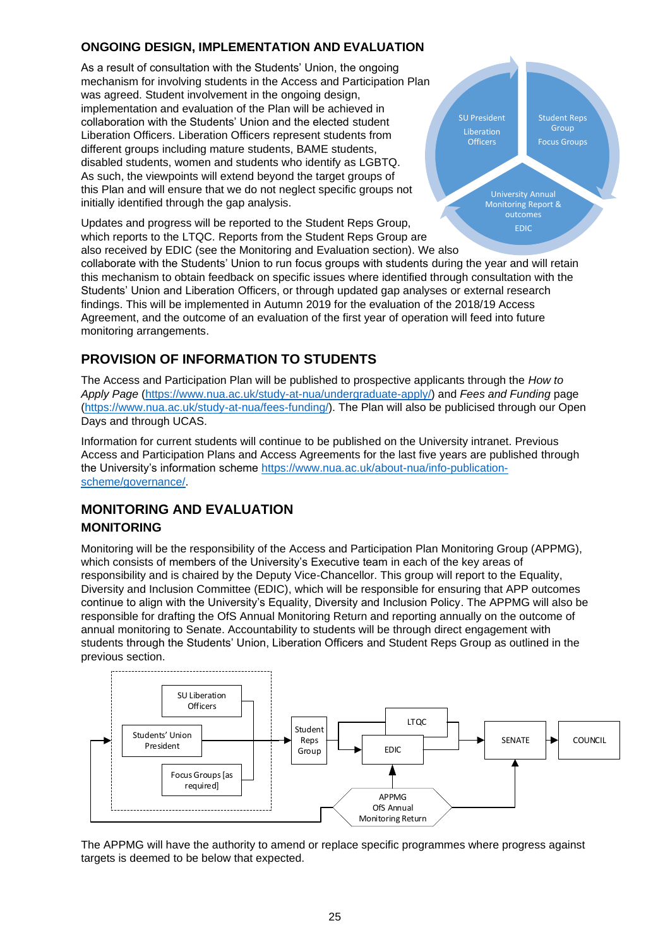# <span id="page-27-0"></span> **ONGOING DESIGN, IMPLEMENTATION AND EVALUATION**

 As a result of consultation with the Students' Union, the ongoing mechanism for involving students in the Access and Participation Plan implementation and evaluation of the Plan will be achieved in collaboration with the Students' Union and the elected student different groups including mature students, BAME students, was agreed. Student involvement in the ongoing design, Liberation Officers. Liberation Officers represent students from disabled students, women and students who identify as LGBTQ. As such, the viewpoints will extend beyond the target groups of this Plan and will ensure that we do not neglect specific groups not initially identified through the gap analysis.

 Updates and progress will be reported to the Student Reps Group, which reports to the LTQC. Reports from the Student Reps Group are also received by EDIC (see the Monitoring and Evaluation section). We also

SU President Liberation **Officers** 

 Student Reps Group Focus Groups

 University Annual Monitoring Report & EDIC

 findings. This will be implemented in Autumn 2019 for the evaluation of the 2018/19 Access Agreement, and the outcome of an evaluation of the first year of operation will feed into future collaborate with the Students' Union to run focus groups with students during the year and will retain this mechanism to obtain feedback on specific issues where identified through consultation with the Students' Union and Liberation Officers, or through updated gap analyses or external research monitoring arrangements.

# <span id="page-27-1"></span>**PROVISION OF INFORMATION TO STUDENTS**

The Access and Participation Plan will be published to prospective applicants through the *How to Apply Page* [\(https://www.nua.ac.uk/study-at-nua/undergraduate-apply/\)](https://www.nua.ac.uk/study-at-nua/undergraduate-apply/) and *Fees and Funding* page [\(https://www.nua.ac.uk/study-at-nua/fees-funding/\)](https://www.nua.ac.uk/study-at-nua/fees-funding/). The Plan will also be publicised through our Open Days and through UCAS.

Information for current students will continue to be published on the University intranet. Previous Access and Participation Plans and Access Agreements for the last five years are published through the University's information scheme [https://www.nua.ac.uk/about-nua/info-publication](https://www.nua.ac.uk/about-nua/info-publication-scheme/governance/)[scheme/governance/.](https://www.nua.ac.uk/about-nua/info-publication-scheme/governance/)

# <span id="page-27-3"></span><span id="page-27-2"></span>**MONITORING AND EVALUATION MONITORING**

 Diversity and Inclusion Committee (EDIC), which will be responsible for ensuring that APP outcomes Monitoring will be the responsibility of the Access and Participation Plan Monitoring Group (APPMG), which consists of members of the University's Executive team in each of the key areas of responsibility and is chaired by the Deputy Vice-Chancellor. This group will report to the Equality, continue to align with the University's Equality, Diversity and Inclusion Policy. The APPMG will also be responsible for drafting the OfS Annual Monitoring Return and reporting annually on the outcome of annual monitoring to Senate. Accountability to students will be through direct engagement with students through the Students' Union, Liberation Officers and Student Reps Group as outlined in the previous section.



 targets is deemed to be below that expected. The APPMG will have the authority to amend or replace specific programmes where progress against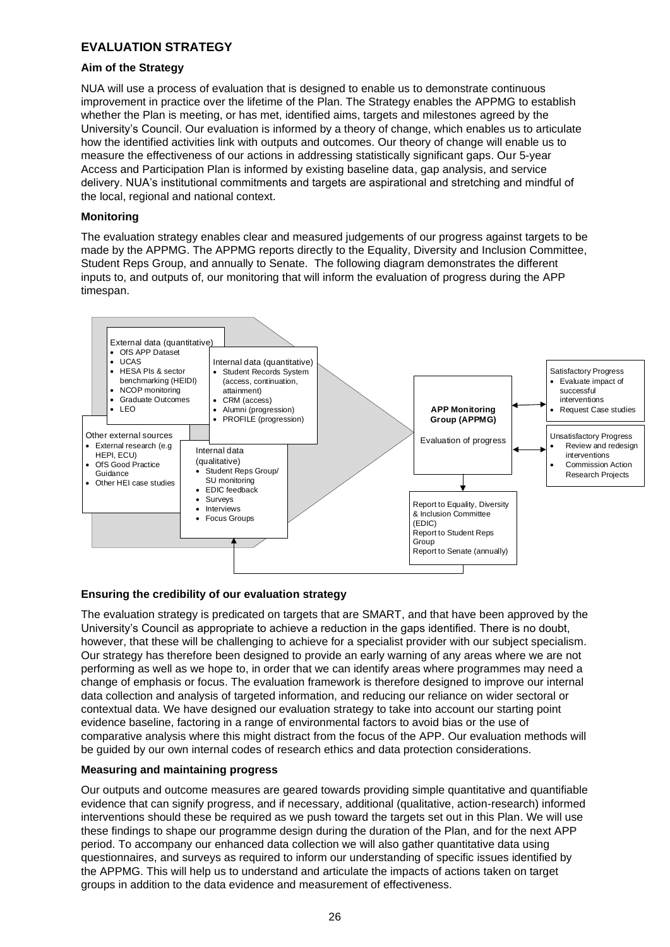# <span id="page-28-0"></span>**EVALUATION STRATEGY**

#### **Aim of the Strategy**

 improvement in practice over the lifetime of the Plan. The Strategy enables the APPMG to establish measure the effectiveness of our actions in addressing statistically significant gaps. Our 5-year Access and Participation Plan is informed by existing baseline data, gap analysis, and service NUA will use a process of evaluation that is designed to enable us to demonstrate continuous whether the Plan is meeting, or has met, identified aims, targets and milestones agreed by the University's Council. Our evaluation is informed by a theory of change, which enables us to articulate how the identified activities link with outputs and outcomes. Our theory of change will enable us to delivery. NUA's institutional commitments and targets are aspirational and stretching and mindful of the local, regional and national context.

## **Monitoring**

 The evaluation strategy enables clear and measured judgements of our progress against targets to be made by the APPMG. The APPMG reports directly to the Equality, Diversity and Inclusion Committee, Student Reps Group, and annually to Senate. The following diagram demonstrates the different inputs to, and outputs of, our monitoring that will inform the evaluation of progress during the APP timespan.



#### **Ensuring the credibility of our evaluation strategy**

 University's Council as appropriate to achieve a reduction in the gaps identified. There is no doubt, however, that these will be challenging to achieve for a specialist provider with our subject specialism. The evaluation strategy is predicated on targets that are SMART, and that have been approved by the Our strategy has therefore been designed to provide an early warning of any areas where we are not performing as well as we hope to, in order that we can identify areas where programmes may need a change of emphasis or focus. The evaluation framework is therefore designed to improve our internal data collection and analysis of targeted information, and reducing our reliance on wider sectoral or contextual data. We have designed our evaluation strategy to take into account our starting point evidence baseline, factoring in a range of environmental factors to avoid bias or the use of comparative analysis where this might distract from the focus of the APP. Our evaluation methods will be guided by our own internal codes of research ethics and data protection considerations.

#### **Measuring and maintaining progress**

 period. To accompany our enhanced data collection we will also gather quantitative data using questionnaires, and surveys as required to inform our understanding of specific issues identified by Our outputs and outcome measures are geared towards providing simple quantitative and quantifiable evidence that can signify progress, and if necessary, additional (qualitative, action-research) informed interventions should these be required as we push toward the targets set out in this Plan. We will use these findings to shape our programme design during the duration of the Plan, and for the next APP the APPMG. This will help us to understand and articulate the impacts of actions taken on target groups in addition to the data evidence and measurement of effectiveness.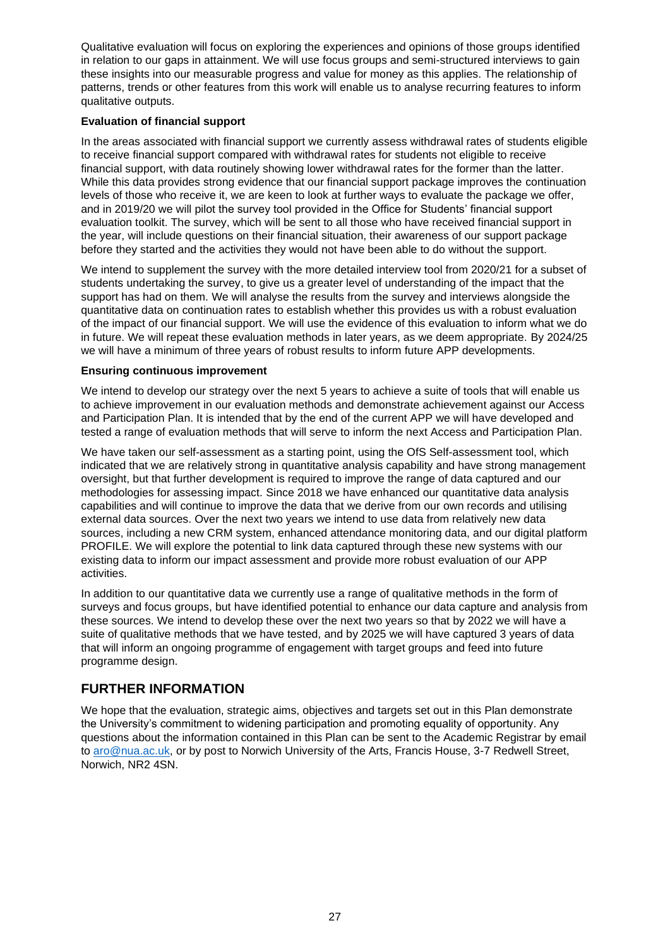Qualitative evaluation will focus on exploring the experiences and opinions of those groups identified in relation to our gaps in attainment. We will use focus groups and semi-structured interviews to gain these insights into our measurable progress and value for money as this applies. The relationship of patterns, trends or other features from this work will enable us to analyse recurring features to inform qualitative outputs.

#### **Evaluation of financial support**

 levels of those who receive it, we are keen to look at further ways to evaluate the package we offer, In the areas associated with financial support we currently assess withdrawal rates of students eligible to receive financial support compared with withdrawal rates for students not eligible to receive financial support, with data routinely showing lower withdrawal rates for the former than the latter. While this data provides strong evidence that our financial support package improves the continuation and in 2019/20 we will pilot the survey tool provided in the Office for Students' financial support evaluation toolkit. The survey, which will be sent to all those who have received financial support in the year, will include questions on their financial situation, their awareness of our support package before they started and the activities they would not have been able to do without the support.

 of the impact of our financial support. We will use the evidence of this evaluation to inform what we do in future. We will repeat these evaluation methods in later years, as we deem appropriate. By 2024/25 We intend to supplement the survey with the more detailed interview tool from 2020/21 for a subset of students undertaking the survey, to give us a greater level of understanding of the impact that the support has had on them. We will analyse the results from the survey and interviews alongside the quantitative data on continuation rates to establish whether this provides us with a robust evaluation we will have a minimum of three years of robust results to inform future APP developments.

#### **Ensuring continuous improvement**

 We intend to develop our strategy over the next 5 years to achieve a suite of tools that will enable us to achieve improvement in our evaluation methods and demonstrate achievement against our Access and Participation Plan. It is intended that by the end of the current APP we will have developed and tested a range of evaluation methods that will serve to inform the next Access and Participation Plan.

 We have taken our self-assessment as a starting point, using the OfS Self-assessment tool, which indicated that we are relatively strong in quantitative analysis capability and have strong management oversight, but that further development is required to improve the range of data captured and our methodologies for assessing impact. Since 2018 we have enhanced our quantitative data analysis capabilities and will continue to improve the data that we derive from our own records and utilising external data sources. Over the next two years we intend to use data from relatively new data sources, including a new CRM system, enhanced attendance monitoring data, and our digital platform PROFILE. We will explore the potential to link data captured through these new systems with our existing data to inform our impact assessment and provide more robust evaluation of our APP activities.

In addition to our quantitative data we currently use a range of qualitative methods in the form of surveys and focus groups, but have identified potential to enhance our data capture and analysis from these sources. We intend to develop these over the next two years so that by 2022 we will have a suite of qualitative methods that we have tested, and by 2025 we will have captured 3 years of data that will inform an ongoing programme of engagement with target groups and feed into future programme design.

# <span id="page-29-0"></span>**FURTHER INFORMATION**

 questions about the information contained in this Plan can be sent to the Academic Registrar by email We hope that the evaluation, strategic aims, objectives and targets set out in this Plan demonstrate the University's commitment to widening participation and promoting equality of opportunity. Any to [aro@nua.ac.uk,](mailto:aro@nua.ac.uk) or by post to Norwich University of the Arts, Francis House, 3-7 Redwell Street, Norwich, NR2 4SN.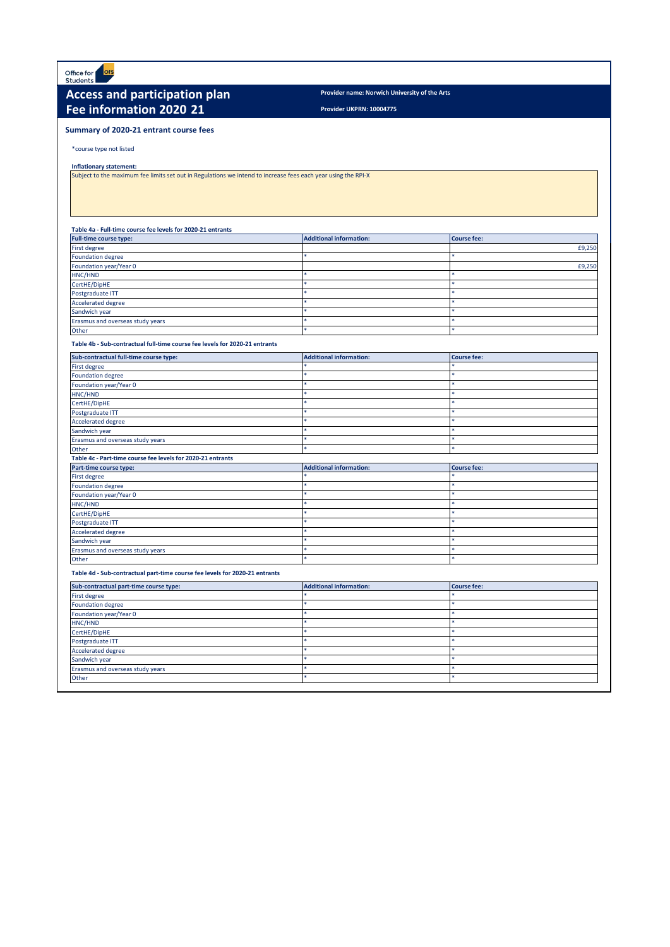Office for<br>Students **Ofs** 

## **Access and participation plan** Provider name: Norwich University of the Arts **Fee information 2020 21** Provider UKPRN: 10004775

**Provider UKPRN: 10004775** 

#### **Summary of 2020-21 entrant course fees**

\*course type not listed

#### **Inflationary statement:**

Subject to the maximum fee limits set out in Regulations we intend to increase fees each year using the RPI-X

#### **Table 4a - Full-time course fee levels for 2020-21 entrants**

| <b>Full-time course type:</b>    | <b>Additional information:</b> | <b>Course fee:</b> |
|----------------------------------|--------------------------------|--------------------|
| First degree                     |                                | £9,250             |
| <b>Foundation degree</b>         |                                |                    |
| Foundation year/Year 0           |                                | £9,250             |
| HNC/HND                          |                                |                    |
| CertHE/DipHE                     |                                |                    |
| Postgraduate ITT                 |                                |                    |
| <b>Accelerated degree</b>        |                                |                    |
| Sandwich year                    |                                |                    |
| Erasmus and overseas study years |                                |                    |
| Other                            |                                |                    |

#### **Table 4b - Sub-contractual full-time course fee levels for 2020-21 entrants**

| Sub-contractual full-time course type:                      | <b>Additional information:</b> | <b>Course fee:</b> |
|-------------------------------------------------------------|--------------------------------|--------------------|
| First degree                                                |                                |                    |
| <b>Foundation degree</b>                                    |                                |                    |
| Foundation year/Year 0                                      | ٠                              |                    |
| HNC/HND                                                     |                                |                    |
| CertHE/DipHE                                                | $\mathbf{r}$                   |                    |
| Postgraduate ITT                                            | ×                              |                    |
| <b>Accelerated degree</b>                                   | ×.                             |                    |
| Sandwich year                                               |                                |                    |
| Erasmus and overseas study years                            | <b>Ski</b>                     |                    |
| Other                                                       | $\mathbf{r}$                   |                    |
| Table 4c - Part-time course fee levels for 2020-21 entrants |                                |                    |
| Part-time course type:                                      | <b>Additional information:</b> | <b>Course fee:</b> |
| First degree                                                |                                |                    |
| <b>Foundation degree</b>                                    |                                |                    |
| Foundation year/Year 0                                      |                                |                    |
| HNC/HND                                                     | $\ast$                         |                    |
| CertHE/DipHE                                                |                                |                    |
| Postgraduate ITT                                            | $\mathbf{r}$                   |                    |
| <b>Accelerated degree</b>                                   | sk.                            |                    |
| Sandwich year                                               |                                |                    |
| Erasmus and overseas study years                            |                                |                    |

#### **Table 4d - Sub-contractual part-time course fee levels for 2020-21 entrants**

| Sub-contractual part-time course type: | <b>Additional information:</b> | <b>Course fee:</b> |  |  |
|----------------------------------------|--------------------------------|--------------------|--|--|
| <b>First degree</b>                    |                                |                    |  |  |
| <b>Foundation degree</b>               |                                |                    |  |  |
| Foundation year/Year 0                 |                                |                    |  |  |
| HNC/HND                                |                                |                    |  |  |
| CertHE/DipHE                           |                                |                    |  |  |
| Postgraduate ITT                       |                                |                    |  |  |
| <b>Accelerated degree</b>              |                                |                    |  |  |
| Sandwich year                          |                                |                    |  |  |
| Erasmus and overseas study years       |                                |                    |  |  |
| Other                                  |                                |                    |  |  |

Other **the contract of the contract of the contract of the contract of the contract of the contract of the contract of the contract of the contract of the contract of the contract of the contract of the contract of the con**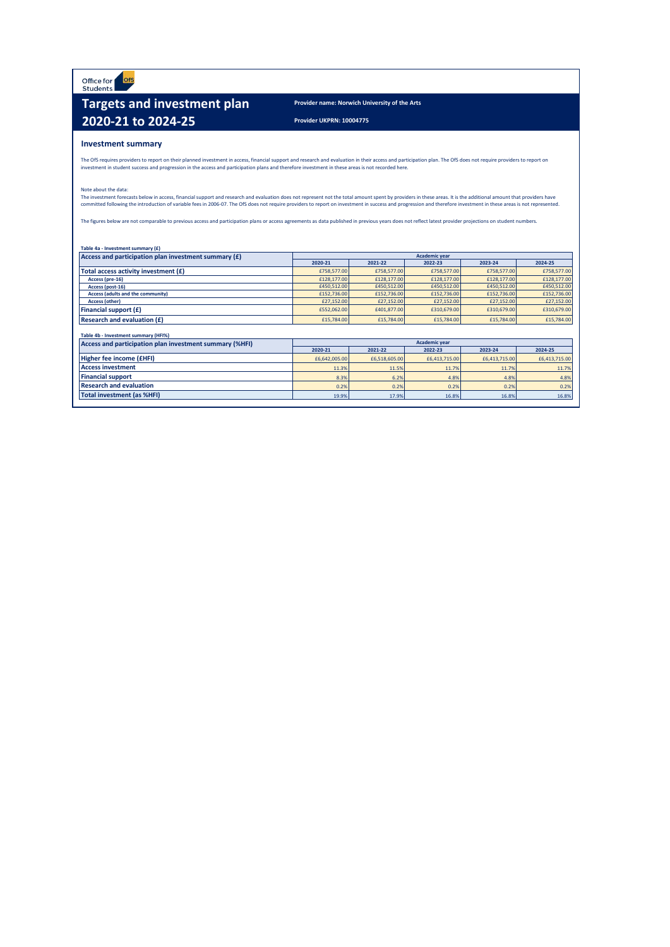Office for ofs

# **Targets and inves tment plan 2020-21 to 2024- 25**

**Provider name: Norwich University of the Arts** 

**Provider UKPRN: 10004775** 

#### **Investment summary**

The OfS requires providers to report on their planned investment in access, financial support and reasearch and evaluation in their access and participation plan. The OfS does not require providers to report on<br>investment

#### Note about the data:

The investment forecasts below in access, financial support and research and evaluation does not represent not the total amount spent by providers in these areas. It is the additional amount that providers have<br>committed f

The figures below are not comparable to previous access and participation plans or access agreements as data published in previous years does not reflect latest provider projections on student numbers.

| Table 4a - Investment summary (£)                       |                      |                      |               |               |               |  |  |  |  |  |
|---------------------------------------------------------|----------------------|----------------------|---------------|---------------|---------------|--|--|--|--|--|
| Access and participation plan investment summary (£)    |                      | <b>Academic vear</b> |               |               |               |  |  |  |  |  |
|                                                         | 2020-21              | 2021-22              |               | 2023-24       | 2024-25       |  |  |  |  |  |
| Total access activity investment (£)                    | £758,577.00          | £758,577.00          | £758,577.00   | £758,577.00   | £758,577.00   |  |  |  |  |  |
| Access (pre-16)                                         | £128,177.00          | £128,177.00          | £128,177.00   | £128,177.00   | £128,177.00   |  |  |  |  |  |
| Access (post-16)                                        | £450,512.00          | £450,512.00          | £450,512.00   | £450,512.00   | £450,512.00   |  |  |  |  |  |
| Access (adults and the community)                       | £152,736.00          | £152,736.00          | £152,736.00   | £152,736.00   | £152,736.00   |  |  |  |  |  |
| <b>Access (other)</b>                                   | £27,152.00           | £27,152.00           | £27,152.00    | £27,152.00    | £27,152.00    |  |  |  |  |  |
| Financial support (£)                                   | £552,062.00          | £401,877,00          | £310,679.00   | £310,679.00   | £310,679.00   |  |  |  |  |  |
| <b>Research and evaluation (£)</b>                      | £15,784.00           | £15,784.00           | £15,784.00    | £15,784.00    | £15,784.00    |  |  |  |  |  |
|                                                         |                      |                      |               |               |               |  |  |  |  |  |
| Table 4b - Investment summary (HFI%)                    |                      |                      |               |               |               |  |  |  |  |  |
| Access and participation plan investment summary (%HFI) | <b>Academic year</b> |                      |               |               |               |  |  |  |  |  |
|                                                         | 2020-21              | 2021-22              | 2022-23       | 2023-24       | 2024-25       |  |  |  |  |  |
| Higher fee income (£HFI)                                | £6,642,005.00        | £6,518,605.00        | £6,413,715.00 | £6,413,715.00 | £6,413,715.00 |  |  |  |  |  |
| <b>Access investment</b>                                | 11.3%                | 11.5%                | 11.7%         | 11.7%         | 11.7%         |  |  |  |  |  |
| <b>Financial support</b>                                | 8.3%                 | 6.2%                 | 4.8%          | 4.8%          | 4.8%          |  |  |  |  |  |
| <b>Research and evaluation</b>                          | 0.2%                 | 0.2%                 | 0.2%          | 0.2%          | 0.2%          |  |  |  |  |  |
| <b>Total investment (as %HFI)</b>                       | 19.9%                | 17.9%                | 16.8%         | 16.8%         | 16.8%         |  |  |  |  |  |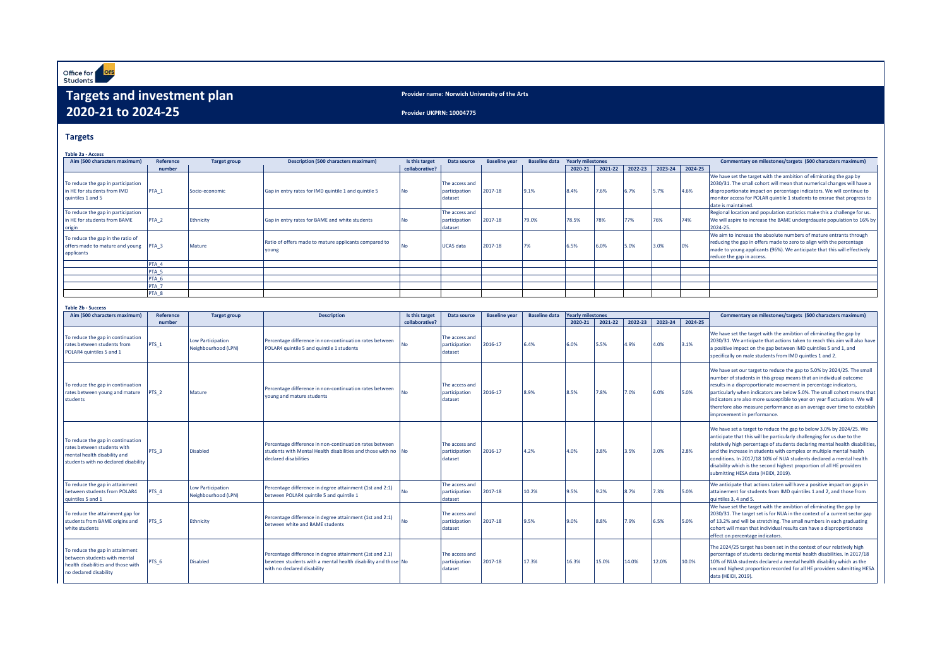Office for Ofs

# **Targets and investment plan 2020-21 to 2024-25**

**Provider name: Norwich University of the Arts** 

**Provider UKPRN: 10004775** 

**Targets** 

| <b>Table 2a - Access</b>                                             |                                      |                                                 |                                                                                                      |                                  |                                 |                      |                      |                                         |         |                 |         |                 |                                                                                                                                                 |  |      |  |  |      |                                                                                                                                              |
|----------------------------------------------------------------------|--------------------------------------|-------------------------------------------------|------------------------------------------------------------------------------------------------------|----------------------------------|---------------------------------|----------------------|----------------------|-----------------------------------------|---------|-----------------|---------|-----------------|-------------------------------------------------------------------------------------------------------------------------------------------------|--|------|--|--|------|----------------------------------------------------------------------------------------------------------------------------------------------|
| Aim (500 characters maximum)                                         | <b>Reference</b><br>number           | <b>Target group</b>                             | <b>Description (500 characters maximum)</b>                                                          | Is this target<br>collaborative? | Data source                     | <b>Baseline year</b> | <b>Baseline data</b> | <b>Yearly milestones</b><br>$2020 - 21$ |         | 2021-22 2022-23 |         | 2023-24 2024-25 | Commentary on milestones/targets (500 characters maximum)                                                                                       |  |      |  |  |      |                                                                                                                                              |
|                                                                      |                                      |                                                 |                                                                                                      |                                  |                                 |                      |                      |                                         |         |                 |         |                 | We have set the target with the ambition of eliminating the gap by                                                                              |  |      |  |  |      |                                                                                                                                              |
| To reduce the gap in participation<br>in HE for students from IMD    | PTA_1                                | Socio-economic                                  | Gap in entry rates for IMD quintile 1 and quintile 5                                                 | No                               | The access and<br>participation | 2017-18              | 9.1%                 | 8.4%                                    | 7.6%    | 6.7%            | 5.7%    | 4.6%            | 2030/31. The small cohort will mean that numerical changes will have a<br>disproportionate impact on percentage indicators. We will continue to |  |      |  |  |      |                                                                                                                                              |
| quintiles 1 and 5                                                    |                                      |                                                 |                                                                                                      |                                  | dataset                         |                      |                      |                                         |         |                 |         |                 | monitor access for POLAR quintile 1 students to ensrue that progress to                                                                         |  |      |  |  |      |                                                                                                                                              |
|                                                                      |                                      |                                                 |                                                                                                      |                                  |                                 |                      |                      |                                         |         |                 |         |                 | date is maintained.                                                                                                                             |  |      |  |  |      |                                                                                                                                              |
| To reduce the gap in participation                                   |                                      |                                                 |                                                                                                      |                                  | The access and                  |                      |                      |                                         |         |                 |         |                 | Regional location and population statistics make this a challenge for us.                                                                       |  |      |  |  |      |                                                                                                                                              |
| in HE for students from BAME<br>origin                               | PTA <sub>2</sub>                     | Ethnicity                                       | Gap in entry rates for BAME and white students                                                       | No                               | participation<br>dataset        | 2017-18              | 79.0%                | 78.5%                                   | 78%     | 77%             | 76%     | 74%             | We will aspire to increase the BAME undergrdauate population to 16% by<br>2024-25.                                                              |  |      |  |  |      |                                                                                                                                              |
|                                                                      |                                      |                                                 |                                                                                                      |                                  |                                 |                      |                      |                                         |         |                 |         |                 | We aim to increase the absolute numbers of mature entrants through                                                                              |  |      |  |  |      |                                                                                                                                              |
| To reduce the gap in the ratio of<br>offers made to mature and young | PTA <sub>3</sub>                     | Mature                                          | Ratio of offers made to mature applicants compared to                                                | ٧о                               | <b>UCAS</b> data                | 2017-18              |                      | 6.5%                                    | 6.0%    | 5.0%            | 3.0%    | 0%              | reducing the gap in offers made to zero to align with the percentage                                                                            |  |      |  |  |      |                                                                                                                                              |
| applicants                                                           |                                      |                                                 | young                                                                                                |                                  |                                 |                      |                      |                                         |         |                 |         |                 | made to young applicants (96%). We anticipate that this will effectively                                                                        |  |      |  |  |      |                                                                                                                                              |
|                                                                      | PTA 4                                |                                                 |                                                                                                      |                                  |                                 |                      |                      |                                         |         |                 |         |                 | reduce the gap in access.                                                                                                                       |  |      |  |  |      |                                                                                                                                              |
|                                                                      | PTA <sub>5</sub>                     |                                                 |                                                                                                      |                                  |                                 |                      |                      |                                         |         |                 |         |                 |                                                                                                                                                 |  |      |  |  |      |                                                                                                                                              |
|                                                                      | PTA 6                                |                                                 |                                                                                                      |                                  |                                 |                      |                      |                                         |         |                 |         |                 |                                                                                                                                                 |  |      |  |  |      |                                                                                                                                              |
|                                                                      | PTA <sub>7</sub><br>PTA <sub>8</sub> |                                                 |                                                                                                      |                                  |                                 |                      |                      |                                         |         |                 |         |                 |                                                                                                                                                 |  |      |  |  |      |                                                                                                                                              |
|                                                                      |                                      |                                                 |                                                                                                      |                                  |                                 |                      |                      |                                         |         |                 |         |                 |                                                                                                                                                 |  |      |  |  |      |                                                                                                                                              |
| <b>Table 2b - Success</b>                                            |                                      |                                                 |                                                                                                      |                                  |                                 |                      |                      |                                         |         |                 |         |                 |                                                                                                                                                 |  |      |  |  |      |                                                                                                                                              |
| Aim (500 characters maximum)                                         | <b>Reference</b>                     | <b>Target group</b>                             | <b>Description</b>                                                                                   | Is this target                   | Data source                     | <b>Baseline vear</b> | <b>Baseline data</b> | <b>Yearly milestones</b><br>2020-21     | 2021-22 |                 |         |                 | Commentary on milestones/targets (500 characters maximum)                                                                                       |  |      |  |  |      |                                                                                                                                              |
|                                                                      | number                               |                                                 |                                                                                                      | collaborative?                   |                                 |                      |                      |                                         |         | 2022-23         | 2023-24 | 2024-25         |                                                                                                                                                 |  |      |  |  |      |                                                                                                                                              |
| To reduce the gap in continuation                                    |                                      |                                                 |                                                                                                      |                                  | The access and                  |                      |                      |                                         |         |                 |         |                 | We have set the target with the amibtion of eliminating the gap by                                                                              |  |      |  |  |      |                                                                                                                                              |
| rates between students from                                          | PTS_1                                | <b>Low Participation</b><br>Neighbourhood (LPN) | Percentage difference in non-continuation rates between<br>POLAR4 quintile 5 and quintile 1 students | No                               | participation                   | 2016-17              | 6.4%                 | 6.0%                                    | 5.5%    | 4.9%            | 4.0%    | 3.1%            | 2030/31. We anticipate that actions taken to reach this aim will also have<br>a positive impact on the gap between IMD quintiles 5 and 1, and   |  |      |  |  |      |                                                                                                                                              |
| POLAR4 quintiles 5 and 1                                             |                                      |                                                 |                                                                                                      |                                  | dataset                         |                      |                      |                                         |         |                 |         |                 | specifically on male students from IMD quintles 1 and 2.                                                                                        |  |      |  |  |      |                                                                                                                                              |
|                                                                      |                                      |                                                 |                                                                                                      |                                  |                                 |                      |                      |                                         |         |                 |         |                 |                                                                                                                                                 |  |      |  |  |      |                                                                                                                                              |
|                                                                      |                                      |                                                 |                                                                                                      |                                  |                                 |                      |                      |                                         |         |                 |         |                 | We have set our target to reduce the gap to 5.0% by 2024/25. The small                                                                          |  |      |  |  |      |                                                                                                                                              |
| To reduce the gap in continuation                                    |                                      |                                                 |                                                                                                      |                                  | The access and                  |                      |                      |                                         |         |                 |         |                 | number of students in this group means that an individual outcome                                                                               |  |      |  |  |      |                                                                                                                                              |
| rates between young and mature                                       | PTS <sub>2</sub>                     | Mature                                          | Percentage difference in non-continuation rates between                                              |                                  | participation                   | 2016-17              | 8.9%                 | 8.5%                                    | 7.8%    |                 | 7.0%    |                 |                                                                                                                                                 |  | 6.0% |  |  | 5.0% | results in a disproportionate movement in percentage indicators,<br>particularly when indicators are below 5.0%. The small cohort means that |
| students                                                             |                                      |                                                 | young and mature students                                                                            |                                  | dataset                         |                      |                      |                                         |         |                 |         |                 | indicators are also more susceptible to year on year fluctuations. We will                                                                      |  |      |  |  |      |                                                                                                                                              |
|                                                                      |                                      |                                                 |                                                                                                      |                                  |                                 |                      |                      |                                         |         |                 |         |                 | therefore also measure performance as an average over time to establish                                                                         |  |      |  |  |      |                                                                                                                                              |
|                                                                      |                                      |                                                 |                                                                                                      |                                  |                                 |                      |                      |                                         |         |                 |         |                 | improvement in performance.                                                                                                                     |  |      |  |  |      |                                                                                                                                              |
|                                                                      |                                      |                                                 |                                                                                                      |                                  |                                 |                      |                      |                                         |         |                 |         |                 | We have set a target to reduce the gap to below 3.0% by 2024/25. We                                                                             |  |      |  |  |      |                                                                                                                                              |
|                                                                      |                                      |                                                 |                                                                                                      |                                  |                                 |                      |                      |                                         |         |                 |         |                 | anticipate that this will be particularly challenging for us due to the                                                                         |  |      |  |  |      |                                                                                                                                              |
| To reduce the gap in continuation<br>rates between students with     |                                      |                                                 | Percentage difference in non-continuation rates between                                              |                                  | The access and                  |                      |                      |                                         |         |                 |         |                 | relatively high percentage of students declaring mental health disabilities,                                                                    |  |      |  |  |      |                                                                                                                                              |
| mental health disability and                                         | PTS <sub>3</sub>                     | <b>Disabled</b>                                 | students with Mental Health disabilities and those with no                                           |                                  | participation                   | 2016-17              | 4.2%                 | 4.0%                                    | 3.8%    | 3.5%            | 3.0%    | 2.8%            | and the increase in students with complex or multiple mental health                                                                             |  |      |  |  |      |                                                                                                                                              |
| students with no declared disability                                 |                                      |                                                 | declared disabilities                                                                                |                                  | dataset                         |                      |                      |                                         |         |                 |         |                 | conditions. In 2017/18 10% of NUA students declared a mental health<br>disability which is the second highest proportion of all HE providers    |  |      |  |  |      |                                                                                                                                              |
|                                                                      |                                      |                                                 |                                                                                                      |                                  |                                 |                      |                      |                                         |         |                 |         |                 | submitting HESA data (HEIDI, 2019).                                                                                                             |  |      |  |  |      |                                                                                                                                              |
| To reduce the gap in attainment                                      |                                      |                                                 |                                                                                                      |                                  | The access and                  |                      |                      |                                         |         |                 |         |                 | We anticipate that actions taken will have a positive impact on gaps in                                                                         |  |      |  |  |      |                                                                                                                                              |
| between students from POLAR4                                         | PTS <sub>4</sub>                     | <b>Low Participation</b><br>Neighbourhood (LPN) | Percentage difference in degree attainment (1st and 2:1)<br>between POLAR4 quintile 5 and quintile 1 |                                  | participation                   | 2017-18              | 10.2%                | 9.5%                                    | 9.2%    | 8.7%            | .3%     | 5.0%            | attainement for students from IMD quintiles 1 and 2, and those from                                                                             |  |      |  |  |      |                                                                                                                                              |
| quintiles 5 and 1                                                    |                                      |                                                 |                                                                                                      |                                  | dataset                         |                      |                      |                                         |         |                 |         |                 | quintiles 3, 4 and 5.                                                                                                                           |  |      |  |  |      |                                                                                                                                              |
| To reduce the attainment gap for                                     |                                      |                                                 |                                                                                                      |                                  | The access and                  |                      |                      |                                         |         |                 |         |                 | We have set the target with the amibtion of eliminating the gap by<br>2030/31. The target set is for NUA in the context of a current sector gap |  |      |  |  |      |                                                                                                                                              |
| students from BAME origins and                                       | PTS <sub>5</sub>                     | Ethnicity                                       | Percentage difference in degree attainment (1st and 2:1)                                             |                                  | participation                   | 2017-18              | 9.5%                 | $0.0\%$                                 | 8.8%    | 7.9%            | 5.5%    | 5.0%            | of 13.2% and will be stretching. The small numbers in each graduating                                                                           |  |      |  |  |      |                                                                                                                                              |
| white students                                                       |                                      |                                                 | between white and BAME students                                                                      |                                  | dataset                         |                      |                      |                                         |         |                 |         |                 | cohort will mean that individual results can have a disproportionate                                                                            |  |      |  |  |      |                                                                                                                                              |
|                                                                      |                                      |                                                 |                                                                                                      |                                  |                                 |                      |                      |                                         |         |                 |         |                 | effect on percentage indicators.                                                                                                                |  |      |  |  |      |                                                                                                                                              |
| To reduce the gap in attainment                                      |                                      |                                                 |                                                                                                      |                                  |                                 |                      |                      |                                         |         |                 |         |                 | The 2024/25 target has been set in the context of our relatively high                                                                           |  |      |  |  |      |                                                                                                                                              |
| between students with mental                                         |                                      |                                                 | Percentage difference in degree attainment (1st and 2.1)                                             |                                  | The access and                  |                      |                      |                                         |         |                 |         |                 | percentage of students declaring mental health disabilities. In 2017/18                                                                         |  |      |  |  |      |                                                                                                                                              |
| health disabilities and those with                                   | PTS <sub>6</sub>                     | <b>Disabled</b>                                 | bewteen students with a mental health disability and those No<br>with no declared disability         |                                  | participation<br>dataset        | 2017-18              | 17.3%                | 16.3%                                   | 15.0%   | 14.0%           | 12.0%   | 10.0%           | 10% of NUA students declared a mental health disability which as the<br>second highest proportion recorded for all HE providers submitting HESA |  |      |  |  |      |                                                                                                                                              |
| no declared disability                                               |                                      |                                                 |                                                                                                      |                                  |                                 |                      |                      |                                         |         |                 |         |                 | data (HEIDI, 2019).                                                                                                                             |  |      |  |  |      |                                                                                                                                              |
|                                                                      |                                      |                                                 |                                                                                                      |                                  |                                 |                      |                      |                                         |         |                 |         |                 |                                                                                                                                                 |  |      |  |  |      |                                                                                                                                              |